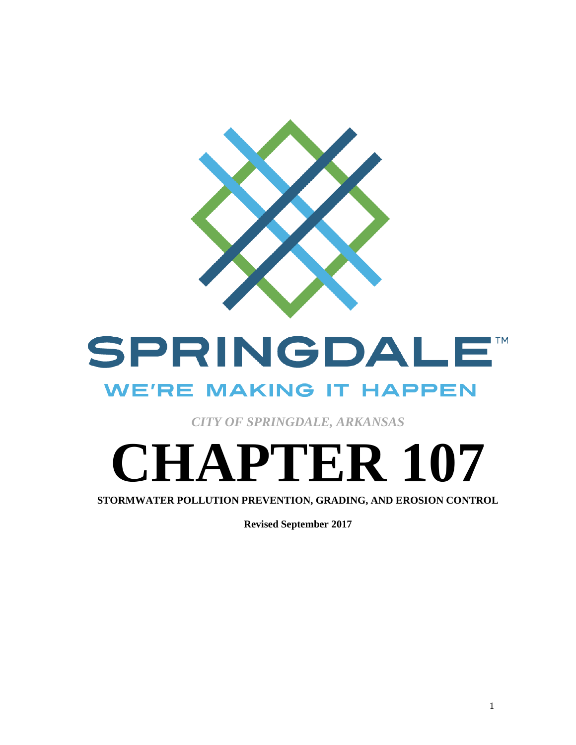

## SPRINGDALE **TM WE'RE MAKING IT HAPPEN**

*CITY OF SPRINGDALE, ARKANSAS*

# **CHAPTER 107**

**STORMWATER POLLUTION PREVENTION, GRADING, AND EROSION CONTROL**

**Revised September 2017**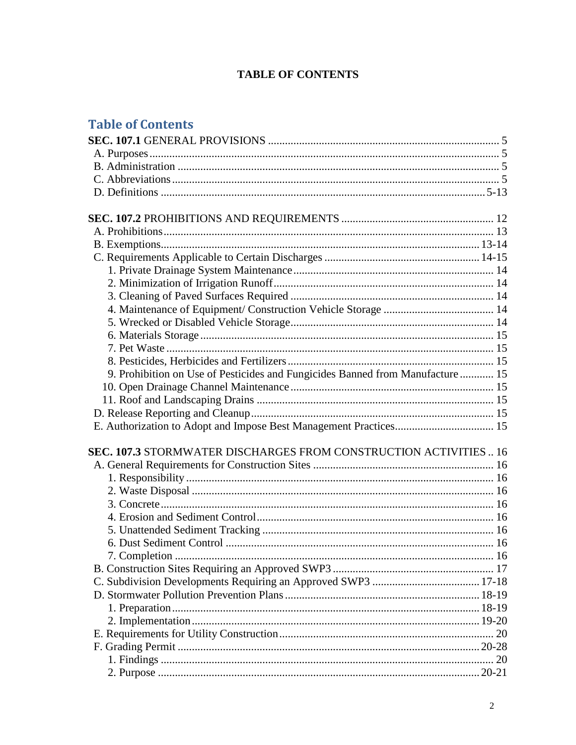#### **TABLE OF CONTENTS**

## **Table of Contents**

| 9. Prohibition on Use of Pesticides and Fungicides Banned from Manufacture  15 |    |
|--------------------------------------------------------------------------------|----|
|                                                                                |    |
|                                                                                |    |
|                                                                                |    |
|                                                                                |    |
|                                                                                |    |
| SEC. 107.3 STORMWATER DISCHARGES FROM CONSTRUCTION ACTIVITIES  16              |    |
|                                                                                |    |
|                                                                                |    |
|                                                                                |    |
|                                                                                |    |
|                                                                                |    |
|                                                                                |    |
|                                                                                |    |
|                                                                                |    |
|                                                                                |    |
|                                                                                |    |
|                                                                                |    |
|                                                                                |    |
|                                                                                |    |
|                                                                                | 20 |
|                                                                                |    |
|                                                                                |    |
|                                                                                |    |
|                                                                                |    |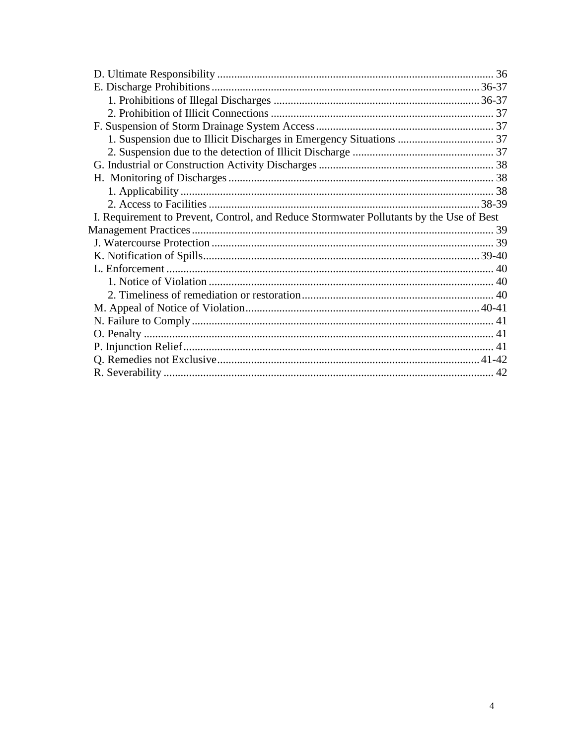<span id="page-3-0"></span>

| I. Requirement to Prevent, Control, and Reduce Stormwater Pollutants by the Use of Best |  |
|-----------------------------------------------------------------------------------------|--|
|                                                                                         |  |
|                                                                                         |  |
|                                                                                         |  |
|                                                                                         |  |
|                                                                                         |  |
|                                                                                         |  |
|                                                                                         |  |
|                                                                                         |  |
|                                                                                         |  |
|                                                                                         |  |
|                                                                                         |  |
|                                                                                         |  |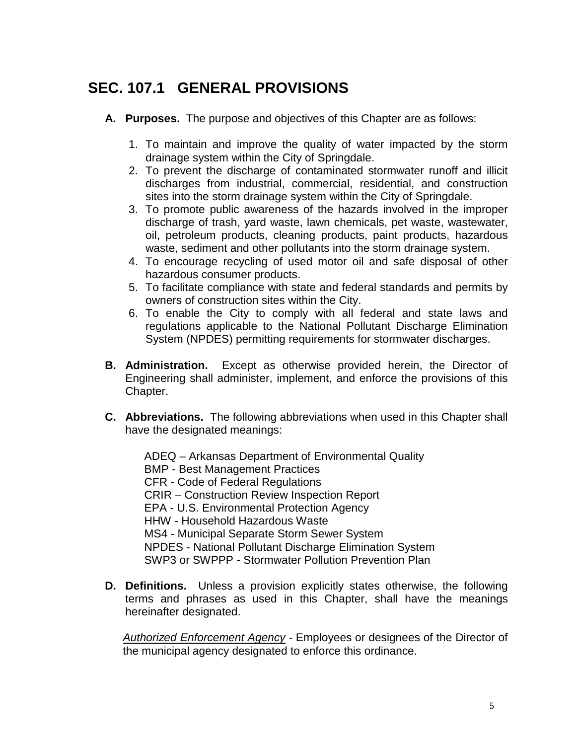## **SEC. 107.1 GENERAL PROVISIONS**

- **A. Purposes.**The purpose and objectives of this Chapter are as follows:
	- 1. To maintain and improve the quality of water impacted by the storm drainage system within the City of Springdale.
	- 2. To prevent the discharge of contaminated stormwater runoff and illicit discharges from industrial, commercial, residential, and construction sites into the storm drainage system within the City of Springdale.
	- 3. To promote public awareness of the hazards involved in the improper discharge of trash, yard waste, lawn chemicals, pet waste, wastewater, oil, petroleum products, cleaning products, paint products, hazardous waste, sediment and other pollutants into the storm drainage system.
	- 4. To encourage recycling of used motor oil and safe disposal of other hazardous consumer products.
	- 5. To facilitate compliance with state and federal standards and permits by owners of construction sites within the City.
	- 6. To enable the City to comply with all federal and state laws and regulations applicable to the National Pollutant Discharge Elimination System (NPDES) permitting requirements for stormwater discharges.
- **B. Administration.**Except as otherwise provided herein, the Director of Engineering shall administer, implement, and enforce the provisions of this Chapter.
- **C. Abbreviations.**The following abbreviations when used in this Chapter shall have the designated meanings:

ADEQ – Arkansas Department of Environmental Quality BMP - Best Management Practices CFR - Code of Federal Regulations CRIR – Construction Review Inspection Report EPA - U.S. Environmental Protection Agency HHW - Household Hazardous Waste MS4 - Municipal Separate Storm Sewer System NPDES - National Pollutant Discharge Elimination System SWP3 or SWPPP - Stormwater Pollution Prevention Plan

**D. Definitions.**Unless a provision explicitly states otherwise, the following terms and phrases as used in this Chapter, shall have the meanings hereinafter designated.

*Authorized Enforcement Agency -* Employees or designees of the Director of the municipal agency designated to enforce this ordinance.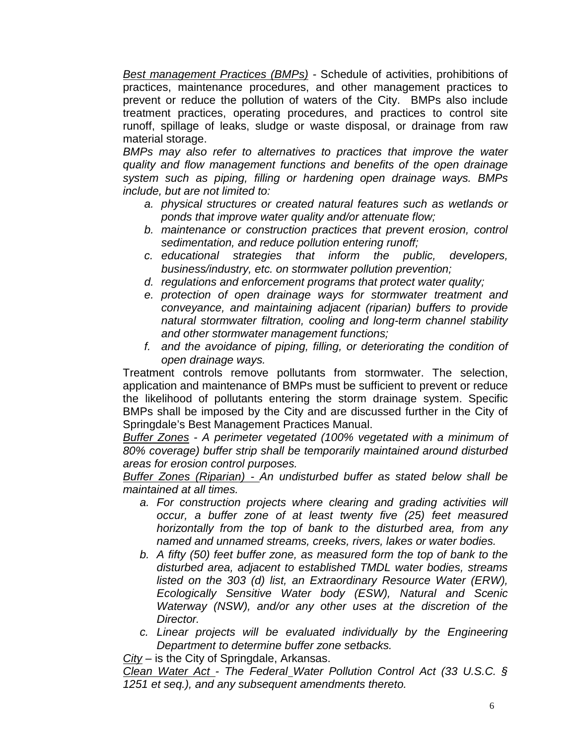*Best management Practices (BMPs) -* Schedule of activities, prohibitions of practices, maintenance procedures, and other management practices to prevent or reduce the pollution of waters of the City. BMPs also include treatment practices, operating procedures, and practices to control site runoff, spillage of leaks, sludge or waste disposal, or drainage from raw material storage.

*BMPs may also refer to alternatives to practices that improve the water quality and flow management functions and benefits of the open drainage system such as piping, filling or hardening open drainage ways. BMPs include, but are not limited to:* 

- *a. physical structures or created natural features such as wetlands or ponds that improve water quality and/or attenuate flow;*
- *b. maintenance or construction practices that prevent erosion, control sedimentation, and reduce pollution entering runoff;*
- *c. educational strategies that inform the public, developers, business/industry, etc. on stormwater pollution prevention;*
- *d. regulations and enforcement programs that protect water quality;*
- *e. protection of open drainage ways for stormwater treatment and conveyance, and maintaining adjacent (riparian) buffers to provide natural stormwater filtration, cooling and long-term channel stability and other stormwater management functions;*
- *f. and the avoidance of piping, filling, or deteriorating the condition of open drainage ways.*

Treatment controls remove pollutants from stormwater. The selection, application and maintenance of BMPs must be sufficient to prevent or reduce the likelihood of pollutants entering the storm drainage system. Specific BMPs shall be imposed by the City and are discussed further in the City of Springdale's Best Management Practices Manual.

*Buffer Zones - A perimeter vegetated (100% vegetated with a minimum of 80% coverage) buffer strip shall be temporarily maintained around disturbed areas for erosion control purposes.*

*Buffer Zones (Riparian) - An undisturbed buffer as stated below shall be maintained at all times.*

- *a. For construction projects where clearing and grading activities will occur, a buffer zone of at least twenty five (25) feet measured horizontally from the top of bank to the disturbed area, from any named and unnamed streams, creeks, rivers, lakes or water bodies.*
- *b. A fifty (50) feet buffer zone, as measured form the top of bank to the disturbed area, adjacent to established TMDL water bodies, streams listed on the 303 (d) list, an Extraordinary Resource Water (ERW), Ecologically Sensitive Water body (ESW), Natural and Scenic Waterway (NSW), and/or any other uses at the discretion of the Director.*
- *c. Linear projects will be evaluated individually by the Engineering Department to determine buffer zone setbacks.*

*City* – is the City of Springdale, Arkansas.

*Clean Water Act - The Federal Water Pollution Control Act (33 U.S.C. § 1251 et seq.), and any subsequent amendments thereto.*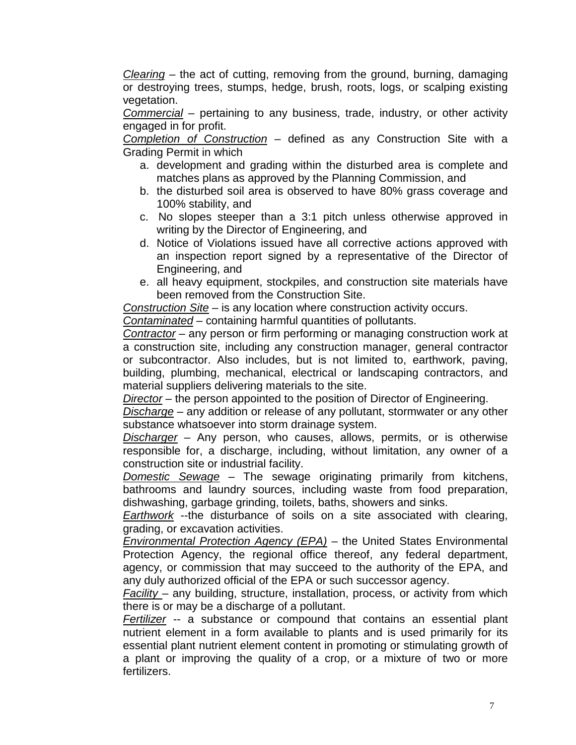*Clearing –* the act of cutting, removing from the ground, burning, damaging or destroying trees, stumps, hedge, brush, roots, logs, or scalping existing vegetation.

*Commercial* – pertaining to any business, trade, industry, or other activity engaged in for profit.

*Completion of Construction* – defined as any Construction Site with a Grading Permit in which

- a. development and grading within the disturbed area is complete and matches plans as approved by the Planning Commission, and
- b. the disturbed soil area is observed to have 80% grass coverage and 100% stability, and
- c. No slopes steeper than a 3:1 pitch unless otherwise approved in writing by the Director of Engineering, and
- d. Notice of Violations issued have all corrective actions approved with an inspection report signed by a representative of the Director of Engineering, and
- e. all heavy equipment, stockpiles, and construction site materials have been removed from the Construction Site.

*Construction Site* – is any location where construction activity occurs. *Contaminated* – containing harmful quantities of pollutants.

*Contractor* – any person or firm performing or managing construction work at a construction site, including any construction manager, general contractor or subcontractor. Also includes, but is not limited to, earthwork, paving, building, plumbing, mechanical, electrical or landscaping contractors, and material suppliers delivering materials to the site.

*Director* – the person appointed to the position of Director of Engineering.

*Discharge* – any addition or release of any pollutant, stormwater or any other substance whatsoever into storm drainage system.

*Discharger* – Any person, who causes, allows, permits, or is otherwise responsible for, a discharge, including, without limitation, any owner of a construction site or industrial facility.

*Domestic Sewage* – The sewage originating primarily from kitchens, bathrooms and laundry sources, including waste from food preparation, dishwashing, garbage grinding, toilets, baths, showers and sinks.

*Earthwork* --the disturbance of soils on a site associated with clearing, grading, or excavation activities.

*Environmental Protection Agency (EPA)* – the United States Environmental Protection Agency, the regional office thereof, any federal department, agency, or commission that may succeed to the authority of the EPA, and any duly authorized official of the EPA or such successor agency.

*Facility* – any building, structure, installation, process, or activity from which there is or may be a discharge of a pollutant.

*Fertilizer* -- a substance or compound that contains an essential plant nutrient element in a form available to plants and is used primarily for its essential plant nutrient element content in promoting or stimulating growth of a plant or improving the quality of a crop, or a mixture of two or more fertilizers.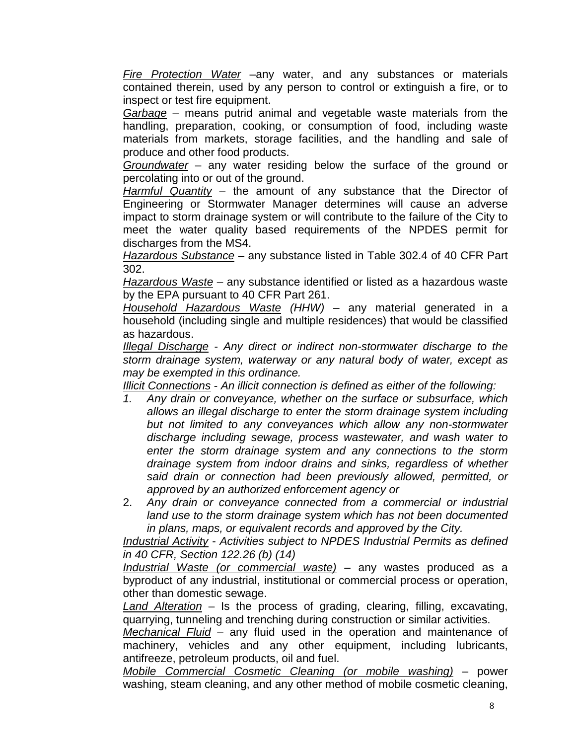*Fire Protection Water* –any water, and any substances or materials contained therein, used by any person to control or extinguish a fire, or to inspect or test fire equipment.

*Garbage* – means putrid animal and vegetable waste materials from the handling, preparation, cooking, or consumption of food, including waste materials from markets, storage facilities, and the handling and sale of produce and other food products.

*Groundwater* – any water residing below the surface of the ground or percolating into or out of the ground.

*Harmful Quantity* – the amount of any substance that the Director of Engineering or Stormwater Manager determines will cause an adverse impact to storm drainage system or will contribute to the failure of the City to meet the water quality based requirements of the NPDES permit for discharges from the MS4.

*Hazardous Substance* – any substance listed in Table 302.4 of 40 CFR Part 302.

*Hazardous Waste* – any substance identified or listed as a hazardous waste by the EPA pursuant to 40 CFR Part 261.

*Household Hazardous Waste (HHW)* – any material generated in a household (including single and multiple residences) that would be classified as hazardous.

*Illegal Discharge* - *Any direct or indirect non-stormwater discharge to the storm drainage system, waterway or any natural body of water, except as may be exempted in this ordinance.*

*Illicit Connections* - *An illicit connection is defined as either of the following:*

- *1. Any drain or conveyance, whether on the surface or subsurface, which allows an illegal discharge to enter the storm drainage system including but not limited to any conveyances which allow any non-stormwater discharge including sewage, process wastewater, and wash water to enter the storm drainage system and any connections to the storm drainage system from indoor drains and sinks, regardless of whether said drain or connection had been previously allowed, permitted, or approved by an authorized enforcement agency or*
- 2. *Any drain or conveyance connected from a commercial or industrial land use to the storm drainage system which has not been documented in plans, maps, or equivalent records and approved by the City.*

*Industrial Activity* - *Activities subject to NPDES Industrial Permits as defined in 40 CFR, Section 122.26 (b) (14)*

*Industrial Waste (or commercial waste)* – any wastes produced as a byproduct of any industrial, institutional or commercial process or operation, other than domestic sewage.

*Land Alteration* – Is the process of grading, clearing, filling, excavating, quarrying, tunneling and trenching during construction or similar activities.

*Mechanical Fluid* – any fluid used in the operation and maintenance of machinery, vehicles and any other equipment, including lubricants, antifreeze, petroleum products, oil and fuel.

*Mobile Commercial Cosmetic Cleaning (or mobile washing)* – power washing, steam cleaning, and any other method of mobile cosmetic cleaning,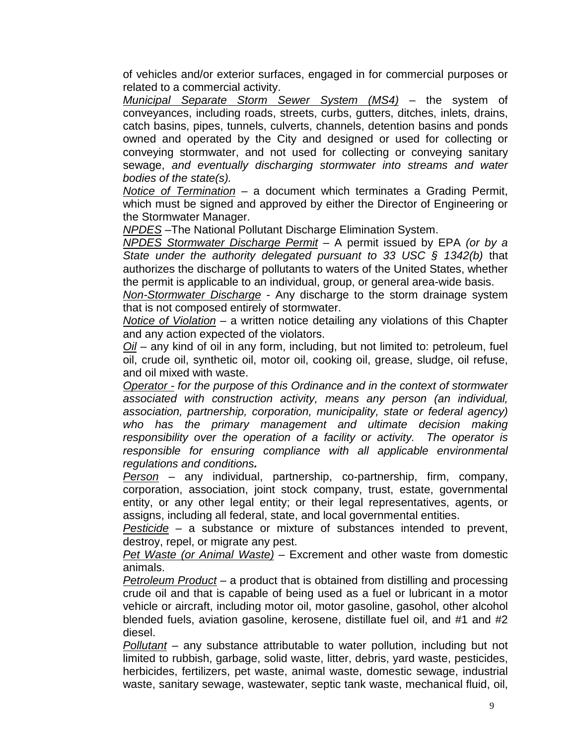of vehicles and/or exterior surfaces, engaged in for commercial purposes or related to a commercial activity.

*Municipal Separate Storm Sewer System (MS4)* – the system of conveyances, including roads, streets, curbs, gutters, ditches, inlets, drains, catch basins, pipes, tunnels, culverts, channels, detention basins and ponds owned and operated by the City and designed or used for collecting or conveying stormwater, and not used for collecting or conveying sanitary sewage, *and eventually discharging stormwater into streams and water bodies of the state(s).*

*Notice of Termination* – a document which terminates a Grading Permit, which must be signed and approved by either the Director of Engineering or the Stormwater Manager.

*NPDES* –The National Pollutant Discharge Elimination System.

*NPDES Stormwater Discharge Permit* – A permit issued by EPA *(or by a State under the authority delegated pursuant to 33 USC § 1342(b)* that authorizes the discharge of pollutants to waters of the United States, whether the permit is applicable to an individual, group, or general area-wide basis.

*Non-Stormwater Discharge* - Any discharge to the storm drainage system that is not composed entirely of stormwater.

*Notice of Violation* – a written notice detailing any violations of this Chapter and any action expected of the violators.

*Oil* – any kind of oil in any form, including, but not limited to: petroleum, fuel oil, crude oil, synthetic oil, motor oil, cooking oil, grease, sludge, oil refuse, and oil mixed with waste.

*Operator - for the purpose of this Ordinance and in the context of stormwater associated with construction activity, means any person (an individual, association, partnership, corporation, municipality, state or federal agency) who has the primary management and ultimate decision making responsibility over the operation of a facility or activity. The operator is responsible for ensuring compliance with all applicable environmental regulations and conditions.*

*Person* – any individual, partnership, co-partnership, firm, company, corporation, association, joint stock company, trust, estate, governmental entity, or any other legal entity; or their legal representatives, agents, or assigns, including all federal, state, and local governmental entities.

*Pesticide* – a substance or mixture of substances intended to prevent, destroy, repel, or migrate any pest.

*Pet Waste (or Animal Waste)* – Excrement and other waste from domestic animals.

*Petroleum Product* – a product that is obtained from distilling and processing crude oil and that is capable of being used as a fuel or lubricant in a motor vehicle or aircraft, including motor oil, motor gasoline, gasohol, other alcohol blended fuels, aviation gasoline, kerosene, distillate fuel oil, and #1 and #2 diesel.

*Pollutant* – any substance attributable to water pollution, including but not limited to rubbish, garbage, solid waste, litter, debris, yard waste, pesticides, herbicides, fertilizers, pet waste, animal waste, domestic sewage, industrial waste, sanitary sewage, wastewater, septic tank waste, mechanical fluid, oil,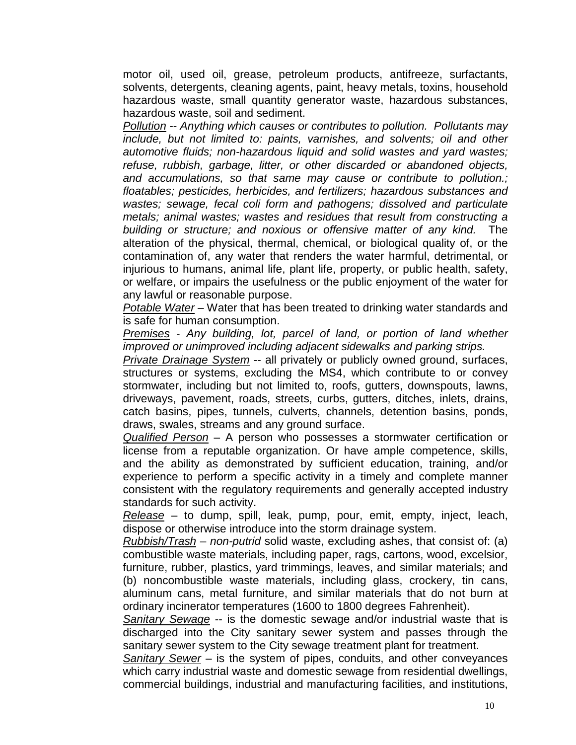motor oil, used oil, grease, petroleum products, antifreeze, surfactants, solvents, detergents, cleaning agents, paint, heavy metals, toxins, household hazardous waste, small quantity generator waste, hazardous substances, hazardous waste, soil and sediment.

*Pollution* -- *Anything which causes or contributes to pollution. Pollutants may include, but not limited to: paints, varnishes, and solvents; oil and other automotive fluids; non-hazardous liquid and solid wastes and yard wastes; refuse, rubbish, garbage, litter, or other discarded or abandoned objects, and accumulations, so that same may cause or contribute to pollution.; floatables; pesticides, herbicides, and fertilizers; hazardous substances and wastes; sewage, fecal coli form and pathogens; dissolved and particulate metals; animal wastes; wastes and residues that result from constructing a building or structure; and noxious or offensive matter of any kind.* The alteration of the physical, thermal, chemical, or biological quality of, or the contamination of, any water that renders the water harmful, detrimental, or injurious to humans, animal life, plant life, property, or public health, safety, or welfare, or impairs the usefulness or the public enjoyment of the water for any lawful or reasonable purpose.

*Potable Water* – Water that has been treated to drinking water standards and is safe for human consumption.

*Premises* - *Any building, lot, parcel of land, or portion of land whether improved or unimproved including adjacent sidewalks and parking strips.*

*Private Drainage System* -- all privately or publicly owned ground, surfaces, structures or systems, excluding the MS4, which contribute to or convey stormwater, including but not limited to, roofs, gutters, downspouts, lawns, driveways, pavement, roads, streets, curbs, gutters, ditches, inlets, drains, catch basins, pipes, tunnels, culverts, channels, detention basins, ponds, draws, swales, streams and any ground surface.

*Qualified Person* – A person who possesses a stormwater certification or license from a reputable organization. Or have ample competence, skills, and the ability as demonstrated by sufficient education, training, and/or experience to perform a specific activity in a timely and complete manner consistent with the regulatory requirements and generally accepted industry standards for such activity.

*Release* – to dump, spill, leak, pump, pour, emit, empty, inject, leach, dispose or otherwise introduce into the storm drainage system.

*Rubbish/Trash* – *non-putrid* solid waste, excluding ashes, that consist of: (a) combustible waste materials, including paper, rags, cartons, wood, excelsior, furniture, rubber, plastics, yard trimmings, leaves, and similar materials; and (b) noncombustible waste materials, including glass, crockery, tin cans, aluminum cans, metal furniture, and similar materials that do not burn at ordinary incinerator temperatures (1600 to 1800 degrees Fahrenheit).

*Sanitary Sewage* -- is the domestic sewage and/or industrial waste that is discharged into the City sanitary sewer system and passes through the sanitary sewer system to the City sewage treatment plant for treatment.

*Sanitary Sewer* – is the system of pipes, conduits, and other conveyances which carry industrial waste and domestic sewage from residential dwellings, commercial buildings, industrial and manufacturing facilities, and institutions,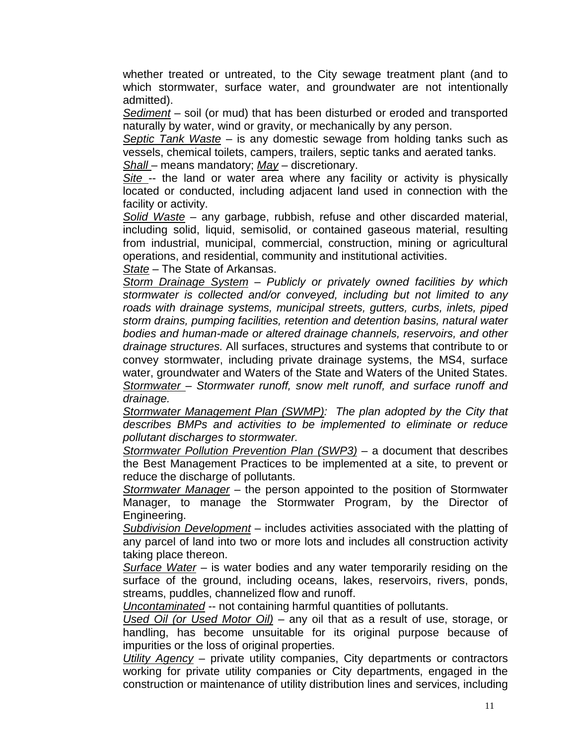whether treated or untreated, to the City sewage treatment plant (and to which stormwater, surface water, and groundwater are not intentionally admitted).

*Sediment* – soil (or mud) that has been disturbed or eroded and transported naturally by water, wind or gravity, or mechanically by any person.

*Septic Tank Waste* – is any domestic sewage from holding tanks such as vessels, chemical toilets, campers, trailers, septic tanks and aerated tanks.

*Shall* – means mandatory; *May* – discretionary.

*Site* -- the land or water area where any facility or activity is physically located or conducted, including adjacent land used in connection with the facility or activity.

*Solid Waste* – any garbage, rubbish, refuse and other discarded material, including solid, liquid, semisolid, or contained gaseous material, resulting from industrial, municipal, commercial, construction, mining or agricultural operations, and residential, community and institutional activities.

*State* – The State of Arkansas.

*Storm Drainage System* – *Publicly or privately owned facilities by which stormwater is collected and/or conveyed, including but not limited to any roads with drainage systems, municipal streets, gutters, curbs, inlets, piped storm drains, pumping facilities, retention and detention basins, natural water bodies and human-made or altered drainage channels, reservoirs, and other drainage structures.* All surfaces, structures and systems that contribute to or convey stormwater, including private drainage systems, the MS4, surface water, groundwater and Waters of the State and Waters of the United States. *Stormwater* – *Stormwater runoff, snow melt runoff, and surface runoff and drainage.*

*Stormwater Management Plan (SWMP): The plan adopted by the City that describes BMPs and activities to be implemented to eliminate or reduce pollutant discharges to stormwater.*

*Stormwater Pollution Prevention Plan (SWP3)* – a document that describes the Best Management Practices to be implemented at a site, to prevent or reduce the discharge of pollutants.

*Stormwater Manager* – the person appointed to the position of Stormwater Manager, to manage the Stormwater Program, by the Director of Engineering.

*Subdivision Development* – includes activities associated with the platting of any parcel of land into two or more lots and includes all construction activity taking place thereon.

*Surface Water* – is water bodies and any water temporarily residing on the surface of the ground, including oceans, lakes, reservoirs, rivers, ponds, streams, puddles, channelized flow and runoff.

*Uncontaminated* -- not containing harmful quantities of pollutants.

*Used Oil (or Used Motor Oil)* – any oil that as a result of use, storage, or handling, has become unsuitable for its original purpose because of impurities or the loss of original properties.

*Utility Agency* – private utility companies, City departments or contractors working for private utility companies or City departments, engaged in the construction or maintenance of utility distribution lines and services, including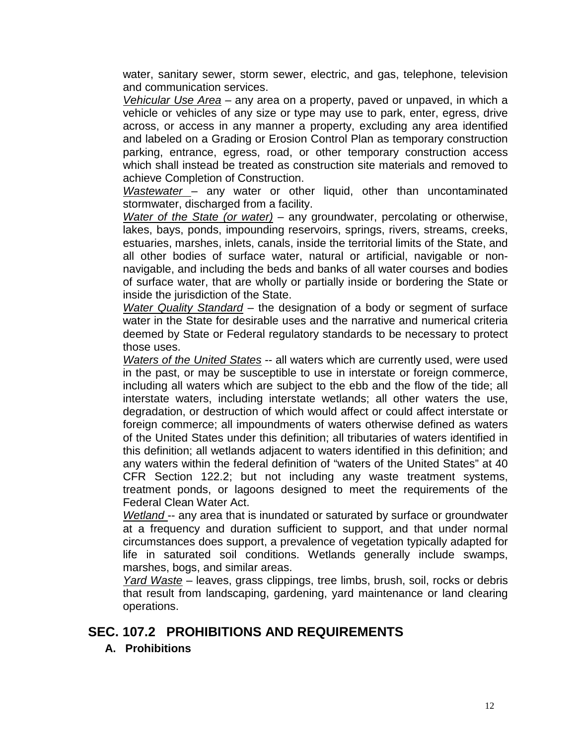water, sanitary sewer, storm sewer, electric, and gas, telephone, television and communication services.

*Vehicular Use Area –* any area on a property, paved or unpaved, in which a vehicle or vehicles of any size or type may use to park, enter, egress, drive across, or access in any manner a property, excluding any area identified and labeled on a Grading or Erosion Control Plan as temporary construction parking, entrance, egress, road, or other temporary construction access which shall instead be treated as construction site materials and removed to achieve Completion of Construction.

*Wastewater* – any water or other liquid, other than uncontaminated stormwater, discharged from a facility.

*Water of the State (or water)* – any groundwater, percolating or otherwise, lakes, bays, ponds, impounding reservoirs, springs, rivers, streams, creeks, estuaries, marshes, inlets, canals, inside the territorial limits of the State, and all other bodies of surface water, natural or artificial, navigable or nonnavigable, and including the beds and banks of all water courses and bodies of surface water, that are wholly or partially inside or bordering the State or inside the jurisdiction of the State.

*Water Quality Standard* – the designation of a body or segment of surface water in the State for desirable uses and the narrative and numerical criteria deemed by State or Federal regulatory standards to be necessary to protect those uses.

*Waters of the United States* -- all waters which are currently used, were used in the past, or may be susceptible to use in interstate or foreign commerce, including all waters which are subject to the ebb and the flow of the tide; all interstate waters, including interstate wetlands; all other waters the use, degradation, or destruction of which would affect or could affect interstate or foreign commerce; all impoundments of waters otherwise defined as waters of the United States under this definition; all tributaries of waters identified in this definition; all wetlands adjacent to waters identified in this definition; and any waters within the federal definition of "waters of the United States" at 40 CFR Section 122.2; but not including any waste treatment systems, treatment ponds, or lagoons designed to meet the requirements of the Federal Clean Water Act.

*Wetland* -- any area that is inundated or saturated by surface or groundwater at a frequency and duration sufficient to support, and that under normal circumstances does support, a prevalence of vegetation typically adapted for life in saturated soil conditions. Wetlands generally include swamps, marshes, bogs, and similar areas.

*Yard Waste* – leaves, grass clippings, tree limbs, brush, soil, rocks or debris that result from landscaping, gardening, yard maintenance or land clearing operations.

## <span id="page-11-0"></span>**SEC. 107.2 PROHIBITIONS AND REQUIREMENTS**

**A. Prohibitions**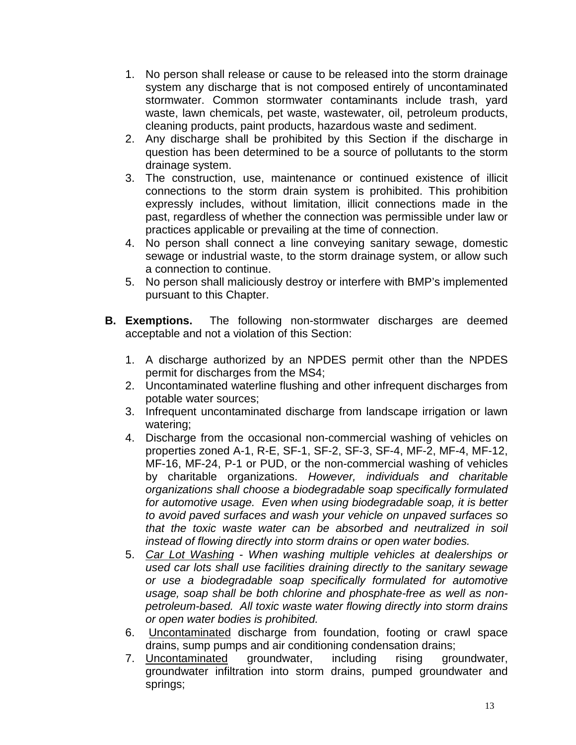- 1. No person shall release or cause to be released into the storm drainage system any discharge that is not composed entirely of uncontaminated stormwater. Common stormwater contaminants include trash, yard waste, lawn chemicals, pet waste, wastewater, oil, petroleum products, cleaning products, paint products, hazardous waste and sediment.
- 2. Any discharge shall be prohibited by this Section if the discharge in question has been determined to be a source of pollutants to the storm drainage system.
- 3. The construction, use, maintenance or continued existence of illicit connections to the storm drain system is prohibited. This prohibition expressly includes, without limitation, illicit connections made in the past, regardless of whether the connection was permissible under law or practices applicable or prevailing at the time of connection.
- 4. No person shall connect a line conveying sanitary sewage, domestic sewage or industrial waste, to the storm drainage system, or allow such a connection to continue.
- 5. No person shall maliciously destroy or interfere with BMP's implemented pursuant to this Chapter.
- **B. Exemptions.**The following non-stormwater discharges are deemed acceptable and not a violation of this Section:
	- 1. A discharge authorized by an NPDES permit other than the NPDES permit for discharges from the MS4;
	- 2. Uncontaminated waterline flushing and other infrequent discharges from potable water sources;
	- 3. Infrequent uncontaminated discharge from landscape irrigation or lawn watering;
	- 4. Discharge from the occasional non-commercial washing of vehicles on properties zoned A-1, R-E, SF-1, SF-2, SF-3, SF-4, MF-2, MF-4, MF-12, MF-16, MF-24, P-1 or PUD, or the non-commercial washing of vehicles by charitable organizations. *However, individuals and charitable organizations shall choose a biodegradable soap specifically formulated for automotive usage. Even when using biodegradable soap, it is better to avoid paved surfaces and wash your vehicle on unpaved surfaces so that the toxic waste water can be absorbed and neutralized in soil instead of flowing directly into storm drains or open water bodies.*
	- 5. *Car Lot Washing When washing multiple vehicles at dealerships or used car lots shall use facilities draining directly to the sanitary sewage or use a biodegradable soap specifically formulated for automotive usage, soap shall be both chlorine and phosphate-free as well as nonpetroleum-based. All toxic waste water flowing directly into storm drains or open water bodies is prohibited.*
	- 6. Uncontaminated discharge from foundation, footing or crawl space drains, sump pumps and air conditioning condensation drains;
	- 7. Uncontaminated groundwater, including rising groundwater, groundwater infiltration into storm drains, pumped groundwater and springs;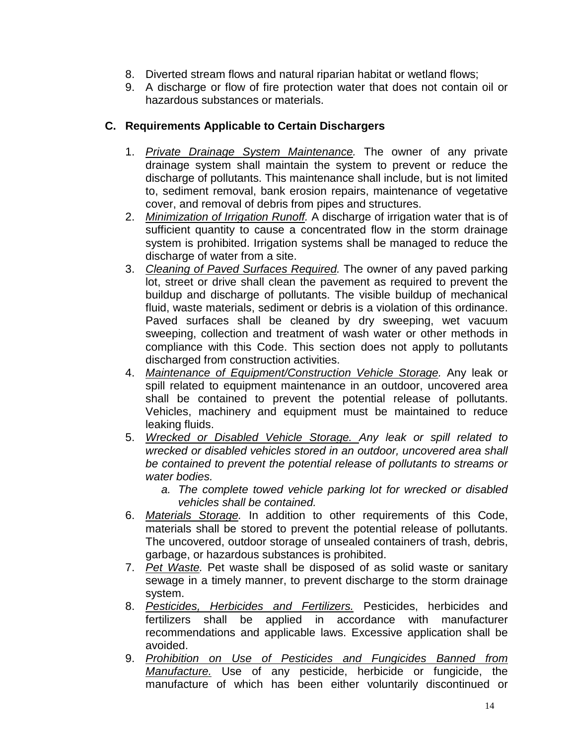- 8. Diverted stream flows and natural riparian habitat or wetland flows;
- 9. A discharge or flow of fire protection water that does not contain oil or hazardous substances or materials.

#### **C. Requirements Applicable to Certain Dischargers**

- 1. *Private Drainage System Maintenance.* The owner of any private drainage system shall maintain the system to prevent or reduce the discharge of pollutants. This maintenance shall include, but is not limited to, sediment removal, bank erosion repairs, maintenance of vegetative cover, and removal of debris from pipes and structures.
- 2. *Minimization of Irrigation Runoff.* A discharge of irrigation water that is of sufficient quantity to cause a concentrated flow in the storm drainage system is prohibited. Irrigation systems shall be managed to reduce the discharge of water from a site.
- 3. *Cleaning of Paved Surfaces Required.* The owner of any paved parking lot, street or drive shall clean the pavement as required to prevent the buildup and discharge of pollutants. The visible buildup of mechanical fluid, waste materials, sediment or debris is a violation of this ordinance. Paved surfaces shall be cleaned by dry sweeping, wet vacuum sweeping, collection and treatment of wash water or other methods in compliance with this Code. This section does not apply to pollutants discharged from construction activities.
- 4. *Maintenance of Equipment/Construction Vehicle Storage.* Any leak or spill related to equipment maintenance in an outdoor, uncovered area shall be contained to prevent the potential release of pollutants. Vehicles, machinery and equipment must be maintained to reduce leaking fluids.
- 5. *Wrecked or Disabled Vehicle Storage. Any leak or spill related to wrecked or disabled vehicles stored in an outdoor, uncovered area shall be contained to prevent the potential release of pollutants to streams or water bodies.* 
	- *a. The complete towed vehicle parking lot for wrecked or disabled vehicles shall be contained.*
- 6. *Materials Storage.* In addition to other requirements of this Code, materials shall be stored to prevent the potential release of pollutants. The uncovered, outdoor storage of unsealed containers of trash, debris, garbage, or hazardous substances is prohibited.
- 7. *Pet Waste.* Pet waste shall be disposed of as solid waste or sanitary sewage in a timely manner, to prevent discharge to the storm drainage system.
- 8. *Pesticides, Herbicides and Fertilizers.* Pesticides, herbicides and fertilizers shall be applied in accordance with manufacturer recommendations and applicable laws. Excessive application shall be avoided.
- 9. *Prohibition on Use of Pesticides and Fungicides Banned from Manufacture.* Use of any pesticide, herbicide or fungicide, the manufacture of which has been either voluntarily discontinued or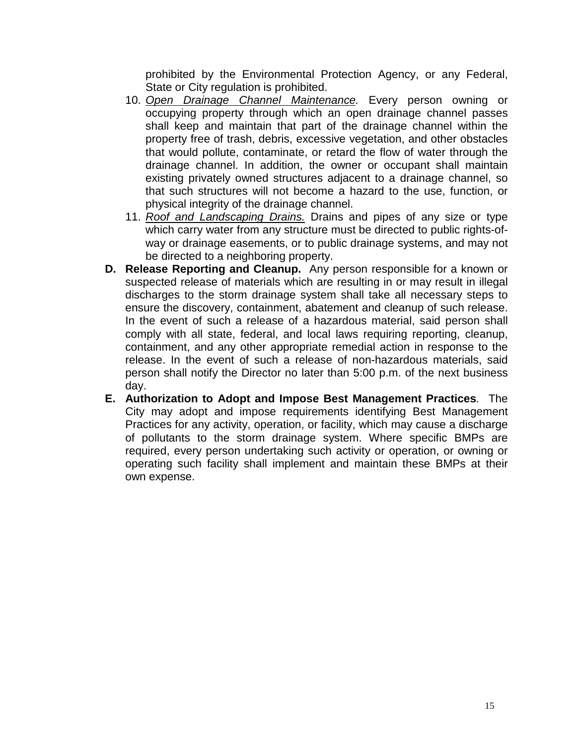prohibited by the Environmental Protection Agency, or any Federal, State or City regulation is prohibited.

- 10. *Open Drainage Channel Maintenance.* Every person owning or occupying property through which an open drainage channel passes shall keep and maintain that part of the drainage channel within the property free of trash, debris, excessive vegetation, and other obstacles that would pollute, contaminate, or retard the flow of water through the drainage channel. In addition, the owner or occupant shall maintain existing privately owned structures adjacent to a drainage channel, so that such structures will not become a hazard to the use, function, or physical integrity of the drainage channel.
- 11. *Roof and Landscaping Drains.* Drains and pipes of any size or type which carry water from any structure must be directed to public rights-ofway or drainage easements, or to public drainage systems, and may not be directed to a neighboring property.
- **D. Release Reporting and Cleanup.**Any person responsible for a known or suspected release of materials which are resulting in or may result in illegal discharges to the storm drainage system shall take all necessary steps to ensure the discovery, containment, abatement and cleanup of such release. In the event of such a release of a hazardous material, said person shall comply with all state, federal, and local laws requiring reporting, cleanup, containment, and any other appropriate remedial action in response to the release. In the event of such a release of non-hazardous materials, said person shall notify the Director no later than 5:00 p.m. of the next business day.
- <span id="page-14-0"></span>**E. Authorization to Adopt and Impose Best Management Practices***.* The City may adopt and impose requirements identifying Best Management Practices for any activity, operation, or facility, which may cause a discharge of pollutants to the storm drainage system. Where specific BMPs are required, every person undertaking such activity or operation, or owning or operating such facility shall implement and maintain these BMPs at their own expense.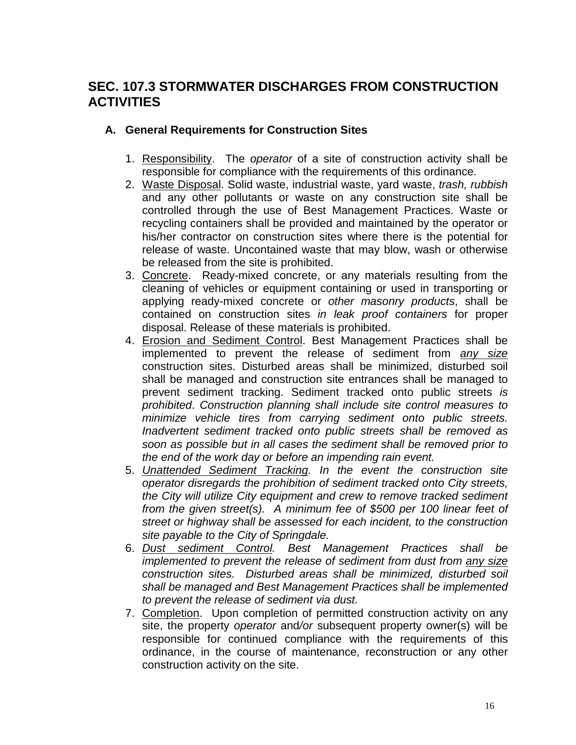## **SEC. 107.3 STORMWATER DISCHARGES FROM CONSTRUCTION ACTIVITIES**

#### **A. General Requirements for Construction Sites**

- 1. Responsibility. The *operator* of a site of construction activity shall be responsible for compliance with the requirements of this ordinance.
- 2. Waste Disposal. Solid waste, industrial waste, yard waste, *trash, rubbish* and any other pollutants or waste on any construction site shall be controlled through the use of Best Management Practices. Waste or recycling containers shall be provided and maintained by the operator or his/her contractor on construction sites where there is the potential for release of waste. Uncontained waste that may blow, wash or otherwise be released from the site is prohibited.
- 3. Concrete. Ready-mixed concrete, or any materials resulting from the cleaning of vehicles or equipment containing or used in transporting or applying ready-mixed concrete or *other masonry products*, shall be contained on construction sites *in leak proof containers* for proper disposal. Release of these materials is prohibited.
- 4. Erosion and Sediment Control. Best Management Practices shall be implemented to prevent the release of sediment from *any size* construction sites. Disturbed areas shall be minimized, disturbed soil shall be managed and construction site entrances shall be managed to prevent sediment tracking. Sediment tracked onto public streets *is prohibited*. *Construction planning shall include site control measures to minimize vehicle tires from carrying sediment onto public streets. Inadvertent sediment tracked onto public streets shall be removed as soon as possible but in all cases the sediment shall be removed prior to the end of the work day or before an impending rain event.*
- 5. *Unattended Sediment Tracking. In the event the construction site operator disregards the prohibition of sediment tracked onto City streets, the City will utilize City equipment and crew to remove tracked sediment from the given street(s). A minimum fee of \$500 per 100 linear feet of street or highway shall be assessed for each incident, to the construction site payable to the City of Springdale.*
- 6. *Dust sediment Control. Best Management Practices shall be implemented to prevent the release of sediment from dust from any size construction sites. Disturbed areas shall be minimized, disturbed soil shall be managed and Best Management Practices shall be implemented to prevent the release of sediment via dust.*
- 7. Completion. Upon completion of permitted construction activity on any site, the property *operator* and*/or* subsequent property owner(s) will be responsible for continued compliance with the requirements of this ordinance, in the course of maintenance, reconstruction or any other construction activity on the site.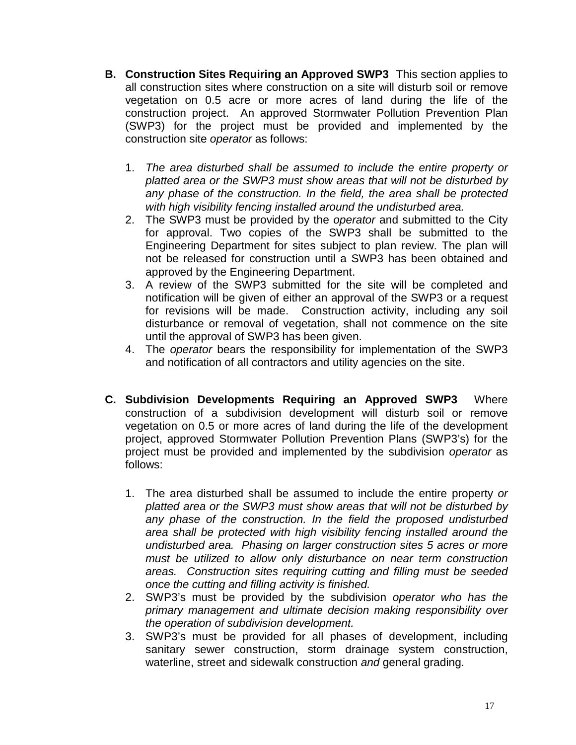- **B. Construction Sites Requiring an Approved SWP3**This section applies to all construction sites where construction on a site will disturb soil or remove vegetation on 0.5 acre or more acres of land during the life of the construction project. An approved Stormwater Pollution Prevention Plan (SWP3) for the project must be provided and implemented by the construction site *operator* as follows:
	- 1. *The area disturbed shall be assumed to include the entire property or platted area or the SWP3 must show areas that will not be disturbed by any phase of the construction. In the field, the area shall be protected with high visibility fencing installed around the undisturbed area.*
	- 2. The SWP3 must be provided by the *operator* and submitted to the City for approval. Two copies of the SWP3 shall be submitted to the Engineering Department for sites subject to plan review. The plan will not be released for construction until a SWP3 has been obtained and approved by the Engineering Department.
	- 3. A review of the SWP3 submitted for the site will be completed and notification will be given of either an approval of the SWP3 or a request for revisions will be made. Construction activity, including any soil disturbance or removal of vegetation, shall not commence on the site until the approval of SWP3 has been given.
	- 4. The *operator* bears the responsibility for implementation of the SWP3 and notification of all contractors and utility agencies on the site.
- **C. Subdivision Developments Requiring an Approved SWP3**Where construction of a subdivision development will disturb soil or remove vegetation on 0.5 or more acres of land during the life of the development project, approved Stormwater Pollution Prevention Plans (SWP3's) for the project must be provided and implemented by the subdivision *operator* as follows:
	- 1. The area disturbed shall be assumed to include the entire property *or platted area or the SWP3 must show areas that will not be disturbed by any phase of the construction. In the field the proposed undisturbed area shall be protected with high visibility fencing installed around the undisturbed area. Phasing on larger construction sites 5 acres or more must be utilized to allow only disturbance on near term construction areas. Construction sites requiring cutting and filling must be seeded once the cutting and filling activity is finished.*
	- 2. SWP3's must be provided by the subdivision *operator who has the primary management and ultimate decision making responsibility over the operation of subdivision development.*
	- 3. SWP3's must be provided for all phases of development, including sanitary sewer construction, storm drainage system construction, waterline, street and sidewalk construction *and* general grading.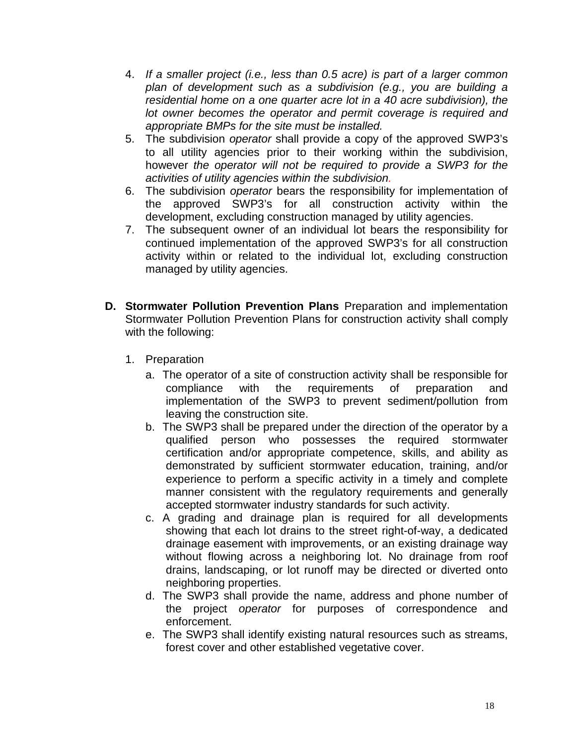- 4. *If a smaller project (i.e., less than 0.5 acre) is part of a larger common plan of development such as a subdivision (e.g., you are building a residential home on a one quarter acre lot in a 40 acre subdivision), the lot owner becomes the operator and permit coverage is required and appropriate BMPs for the site must be installed.*
- 5. The subdivision *operator* shall provide a copy of the approved SWP3's to all utility agencies prior to their working within the subdivision, however *the operator will not be required to provide a SWP3 for the activities of utility agencies within the subdivision.*
- 6. The subdivision *operator* bears the responsibility for implementation of the approved SWP3's for all construction activity within the development, excluding construction managed by utility agencies.
- 7. The subsequent owner of an individual lot bears the responsibility for continued implementation of the approved SWP3's for all construction activity within or related to the individual lot, excluding construction managed by utility agencies.
- **D. Stormwater Pollution Prevention Plans** Preparation and implementation Stormwater Pollution Prevention Plans for construction activity shall comply with the following:
	- 1. Preparation
		- a. The operator of a site of construction activity shall be responsible for compliance with the requirements of preparation and with the requirements of preparation and implementation of the SWP3 to prevent sediment/pollution from leaving the construction site.
		- b. The SWP3 shall be prepared under the direction of the operator by a qualified person who possesses the required stormwater certification and/or appropriate competence, skills, and ability as demonstrated by sufficient stormwater education, training, and/or experience to perform a specific activity in a timely and complete manner consistent with the regulatory requirements and generally accepted stormwater industry standards for such activity.
		- c. A grading and drainage plan is required for all developments showing that each lot drains to the street right-of-way, a dedicated drainage easement with improvements, or an existing drainage way without flowing across a neighboring lot. No drainage from roof drains, landscaping, or lot runoff may be directed or diverted onto neighboring properties.
		- d. The SWP3 shall provide the name, address and phone number of the project *operator* for purposes of correspondence and enforcement.
		- e. The SWP3 shall identify existing natural resources such as streams, forest cover and other established vegetative cover.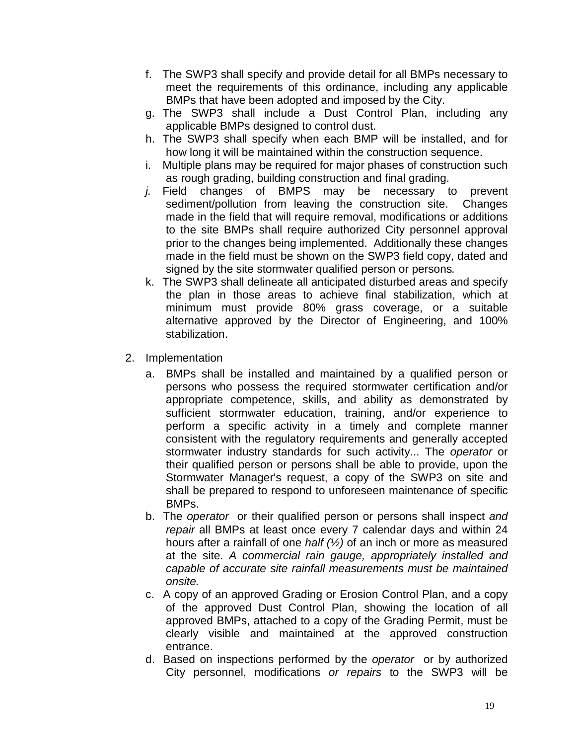- f. The SWP3 shall specify and provide detail for all BMPs necessary to meet the requirements of this ordinance, including any applicable BMPs that have been adopted and imposed by the City.
- g. The SWP3 shall include a Dust Control Plan, including any applicable BMPs designed to control dust.
- h. The SWP3 shall specify when each BMP will be installed, and for how long it will be maintained within the construction sequence.
- i. Multiple plans may be required for major phases of construction such as rough grading, building construction and final grading.
- *j.* Field changes of BMPS may be necessary to prevent sediment/pollution from leaving the construction site. Changes made in the field that will require removal, modifications or additions to the site BMPs shall require authorized City personnel approval prior to the changes being implemented. Additionally these changes made in the field must be shown on the SWP3 field copy, dated and signed by the site stormwater qualified person or persons*.*
- k. The SWP3 shall delineate all anticipated disturbed areas and specify the plan in those areas to achieve final stabilization, which at minimum must provide 80% grass coverage, or a suitable alternative approved by the Director of Engineering, and 100% stabilization.
- 2. Implementation
	- a. BMPs shall be installed and maintained by a qualified person or persons who possess the required stormwater certification and/or appropriate competence, skills, and ability as demonstrated by sufficient stormwater education, training, and/or experience to perform a specific activity in a timely and complete manner consistent with the regulatory requirements and generally accepted stormwater industry standards for such activity... The *operator* or their qualified person or persons shall be able to provide, upon the Stormwater Manager's request, a copy of the SWP3 on site and shall be prepared to respond to unforeseen maintenance of specific BMPs.
	- b. The *operator* or their qualified person or persons shall inspect *and repair* all BMPs at least once every 7 calendar days and within 24 hours after a rainfall of one *half (½)* of an inch or more as measured at the site. *A commercial rain gauge, appropriately installed and capable of accurate site rainfall measurements must be maintained onsite.*
	- c. A copy of an approved Grading or Erosion Control Plan, and a copy of the approved Dust Control Plan, showing the location of all approved BMPs, attached to a copy of the Grading Permit, must be clearly visible and maintained at the approved construction entrance.
	- d. Based on inspections performed by the *operator* or by authorized City personnel, modifications *or repairs* to the SWP3 will be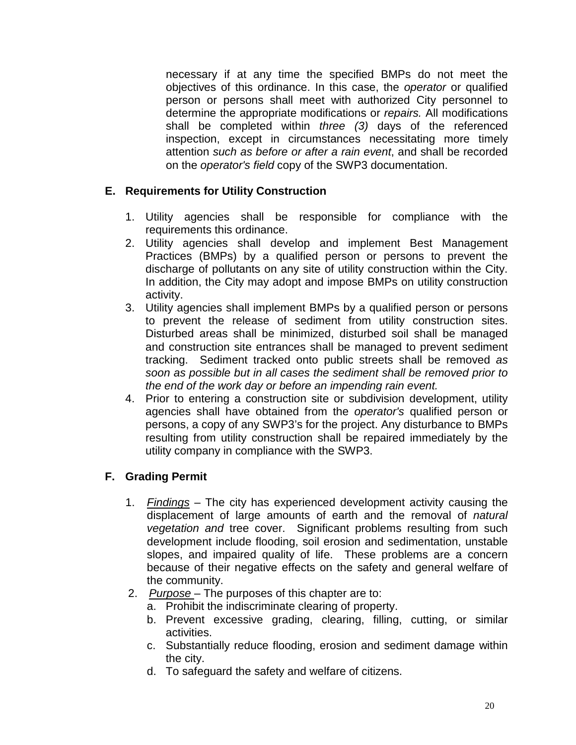necessary if at any time the specified BMPs do not meet the objectives of this ordinance. In this case, the *operator* or qualified person or persons shall meet with authorized City personnel to determine the appropriate modifications or *repairs.* All modifications shall be completed within *three (3)* days of the referenced inspection, except in circumstances necessitating more timely attention *such as before or after a rain event*, and shall be recorded on the *operator's field* copy of the SWP3 documentation.

#### **E. Requirements for Utility Construction**

- 1. Utility agencies shall be responsible for compliance with the requirements this ordinance.
- 2. Utility agencies shall develop and implement Best Management Practices (BMPs) by a qualified person or persons to prevent the discharge of pollutants on any site of utility construction within the City. In addition, the City may adopt and impose BMPs on utility construction activity.
- 3. Utility agencies shall implement BMPs by a qualified person or persons to prevent the release of sediment from utility construction sites. Disturbed areas shall be minimized, disturbed soil shall be managed and construction site entrances shall be managed to prevent sediment tracking. Sediment tracked onto public streets shall be removed *as soon as possible but in all cases the sediment shall be removed prior to the end of the work day or before an impending rain event.*
- 4. Prior to entering a construction site or subdivision development, utility agencies shall have obtained from the *operator's* qualified person or persons, a copy of any SWP3's for the project. Any disturbance to BMPs resulting from utility construction shall be repaired immediately by the utility company in compliance with the SWP3.

#### **F. Grading Permit**

- 1. *Findings* The city has experienced development activity causing the displacement of large amounts of earth and the removal of *natural vegetation and* tree cover. Significant problems resulting from such development include flooding, soil erosion and sedimentation, unstable slopes, and impaired quality of life. These problems are a concern because of their negative effects on the safety and general welfare of the community.
- 2. *Purpose*  The purposes of this chapter are to:
	- a. Prohibit the indiscriminate clearing of property.
	- b. Prevent excessive grading, clearing, filling, cutting, or similar activities.
	- c. Substantially reduce flooding, erosion and sediment damage within the city.
	- d. To safeguard the safety and welfare of citizens.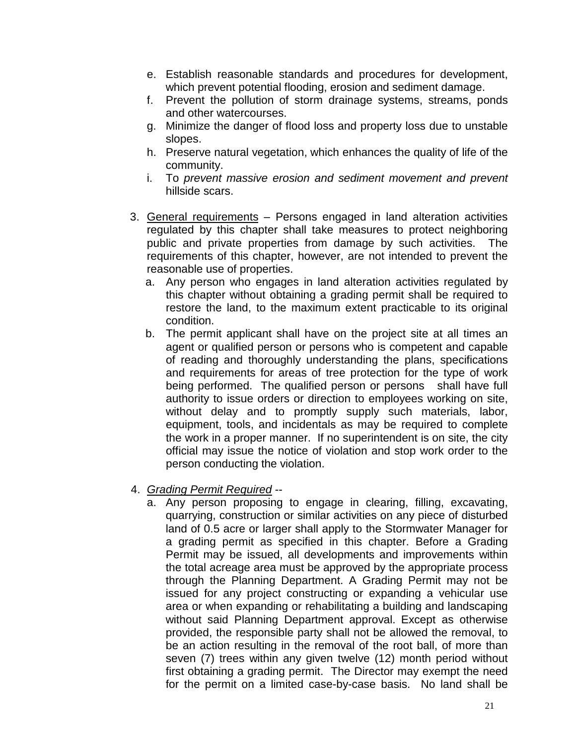- e. Establish reasonable standards and procedures for development, which prevent potential flooding, erosion and sediment damage.
- f. Prevent the pollution of storm drainage systems, streams, ponds and other watercourses.
- g. Minimize the danger of flood loss and property loss due to unstable slopes.
- h. Preserve natural vegetation, which enhances the quality of life of the community.
- i. To *prevent massive erosion and sediment movement and prevent* hillside scars.
- 3. General requirements Persons engaged in land alteration activities regulated by this chapter shall take measures to protect neighboring public and private properties from damage by such activities. The requirements of this chapter, however, are not intended to prevent the reasonable use of properties.
	- a. Any person who engages in land alteration activities regulated by this chapter without obtaining a grading permit shall be required to restore the land, to the maximum extent practicable to its original condition.
	- b. The permit applicant shall have on the project site at all times an agent or qualified person or persons who is competent and capable of reading and thoroughly understanding the plans, specifications and requirements for areas of tree protection for the type of work being performed. The qualified person or persons shall have full authority to issue orders or direction to employees working on site, without delay and to promptly supply such materials, labor, equipment, tools, and incidentals as may be required to complete the work in a proper manner. If no superintendent is on site, the city official may issue the notice of violation and stop work order to the person conducting the violation.
- 4. *Grading Permit Required*
	- a. Any person proposing to engage in clearing, filling, excavating, quarrying, construction or similar activities on any piece of disturbed land of 0.5 acre or larger shall apply to the Stormwater Manager for a grading permit as specified in this chapter. Before a Grading Permit may be issued, all developments and improvements within the total acreage area must be approved by the appropriate process through the Planning Department. A Grading Permit may not be issued for any project constructing or expanding a vehicular use area or when expanding or rehabilitating a building and landscaping without said Planning Department approval. Except as otherwise provided, the responsible party shall not be allowed the removal, to be an action resulting in the removal of the root ball, of more than seven (7) trees within any given twelve (12) month period without first obtaining a grading permit. The Director may exempt the need for the permit on a limited case-by-case basis. No land shall be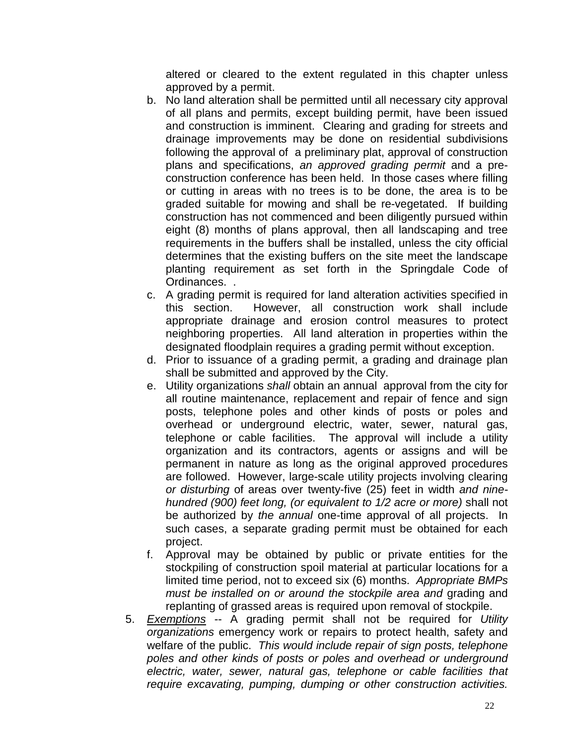altered or cleared to the extent regulated in this chapter unless approved by a permit.

- b. No land alteration shall be permitted until all necessary city approval of all plans and permits, except building permit, have been issued and construction is imminent. Clearing and grading for streets and drainage improvements may be done on residential subdivisions following the approval of a preliminary plat, approval of construction plans and specifications, *an approved grading permit* and a preconstruction conference has been held. In those cases where filling or cutting in areas with no trees is to be done, the area is to be graded suitable for mowing and shall be re-vegetated. If building construction has not commenced and been diligently pursued within eight (8) months of plans approval, then all landscaping and tree requirements in the buffers shall be installed, unless the city official determines that the existing buffers on the site meet the landscape planting requirement as set forth in the Springdale Code of Ordinances. .
- c. A grading permit is required for land alteration activities specified in this section. However, all construction work shall include appropriate drainage and erosion control measures to protect neighboring properties. All land alteration in properties within the designated floodplain requires a grading permit without exception.
- d. Prior to issuance of a grading permit, a grading and drainage plan shall be submitted and approved by the City.
- e. Utility organizations *shall* obtain an annual approval from the city for all routine maintenance, replacement and repair of fence and sign posts, telephone poles and other kinds of posts or poles and overhead or underground electric, water, sewer, natural gas, telephone or cable facilities. The approval will include a utility organization and its contractors, agents or assigns and will be permanent in nature as long as the original approved procedures are followed. However, large-scale utility projects involving clearing *or disturbing* of areas over twenty-five (25) feet in width *and ninehundred (900) feet long, (or equivalent to 1/2 acre or more)* shall not be authorized by *the annual* one-time approval of all projects. In such cases, a separate grading permit must be obtained for each project.
- f. Approval may be obtained by public or private entities for the stockpiling of construction spoil material at particular locations for a limited time period, not to exceed six (6) months. *Appropriate BMPs must be installed on or around the stockpile area and* grading and replanting of grassed areas is required upon removal of stockpile.
- 5. *Exemptions* -- A grading permit shall not be required for *Utility organizations* emergency work or repairs to protect health, safety and welfare of the public. *This would include repair of sign posts, telephone poles and other kinds of posts or poles and overhead or underground electric, water, sewer, natural gas, telephone or cable facilities that require excavating, pumping, dumping or other construction activities.*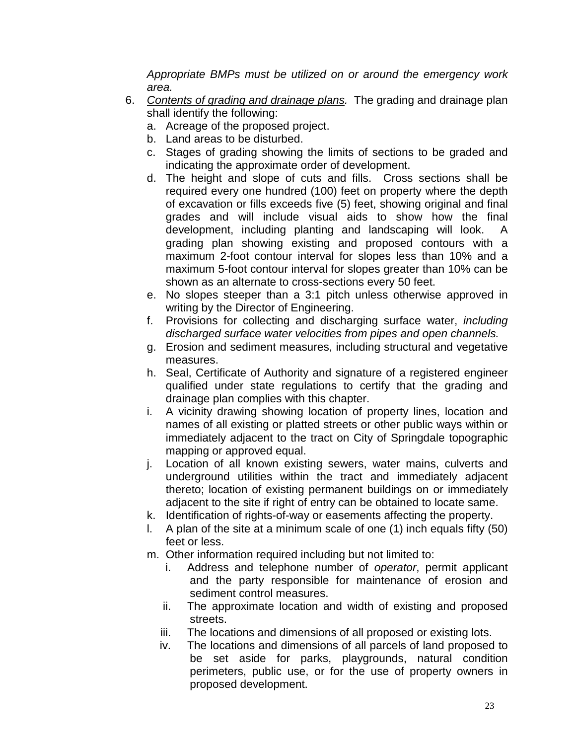*Appropriate BMPs must be utilized on or around the emergency work area.*

- 6. *Contents of grading and drainage plans.* The grading and drainage plan shall identify the following:
	- a. Acreage of the proposed project.
	- b. Land areas to be disturbed.
	- c. Stages of grading showing the limits of sections to be graded and indicating the approximate order of development.
	- d. The height and slope of cuts and fills. Cross sections shall be required every one hundred (100) feet on property where the depth of excavation or fills exceeds five (5) feet, showing original and final grades and will include visual aids to show how the final development, including planting and landscaping will look. A grading plan showing existing and proposed contours with a maximum 2-foot contour interval for slopes less than 10% and a maximum 5-foot contour interval for slopes greater than 10% can be shown as an alternate to cross-sections every 50 feet.
	- e. No slopes steeper than a 3:1 pitch unless otherwise approved in writing by the Director of Engineering.
	- f. Provisions for collecting and discharging surface water, *including discharged surface water velocities from pipes and open channels.*
	- g. Erosion and sediment measures, including structural and vegetative measures.
	- h. Seal, Certificate of Authority and signature of a registered engineer qualified under state regulations to certify that the grading and drainage plan complies with this chapter.
	- i. A vicinity drawing showing location of property lines, location and names of all existing or platted streets or other public ways within or immediately adjacent to the tract on City of Springdale topographic mapping or approved equal.
	- j. Location of all known existing sewers, water mains, culverts and underground utilities within the tract and immediately adjacent thereto; location of existing permanent buildings on or immediately adjacent to the site if right of entry can be obtained to locate same.
	- k. Identification of rights-of-way or easements affecting the property.
	- l. A plan of the site at a minimum scale of one (1) inch equals fifty (50) feet or less.
	- m. Other information required including but not limited to:
		- i. Address and telephone number of *operator*, permit applicant and the party responsible for maintenance of erosion and sediment control measures.
		- ii. The approximate location and width of existing and proposed streets.
		- iii. The locations and dimensions of all proposed or existing lots.
		- iv. The locations and dimensions of all parcels of land proposed to be set aside for parks, playgrounds, natural condition perimeters, public use, or for the use of property owners in proposed development.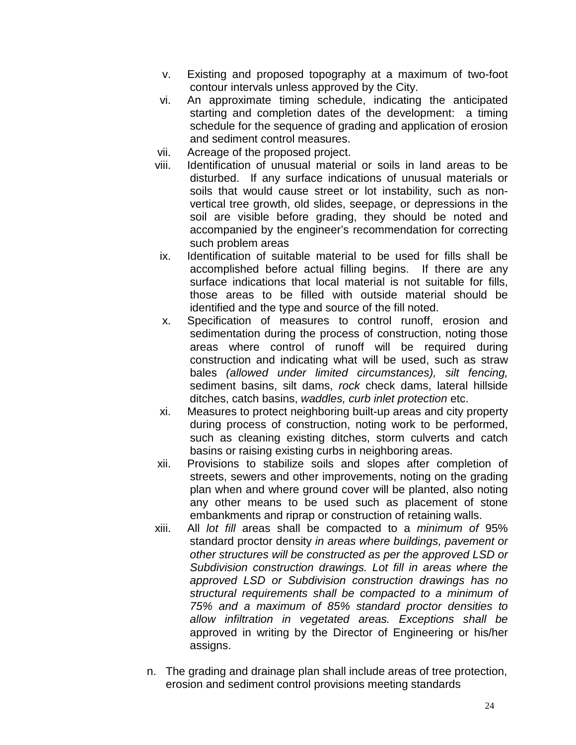- v. Existing and proposed topography at a maximum of two-foot contour intervals unless approved by the City.
- vi. An approximate timing schedule, indicating the anticipated starting and completion dates of the development: a timing schedule for the sequence of grading and application of erosion and sediment control measures.
- vii. Acreage of the proposed project.
- viii. Identification of unusual material or soils in land areas to be disturbed. If any surface indications of unusual materials or soils that would cause street or lot instability, such as nonvertical tree growth, old slides, seepage, or depressions in the soil are visible before grading, they should be noted and accompanied by the engineer's recommendation for correcting such problem areas
- ix. Identification of suitable material to be used for fills shall be accomplished before actual filling begins. If there are any surface indications that local material is not suitable for fills, those areas to be filled with outside material should be identified and the type and source of the fill noted.
- x. Specification of measures to control runoff, erosion and sedimentation during the process of construction, noting those areas where control of runoff will be required during construction and indicating what will be used, such as straw bales *(allowed under limited circumstances), silt fencing,* sediment basins, silt dams, *rock* check dams, lateral hillside ditches, catch basins, *waddles, curb inlet protection* etc.
- xi. Measures to protect neighboring built-up areas and city property during process of construction, noting work to be performed, such as cleaning existing ditches, storm culverts and catch basins or raising existing curbs in neighboring areas.
- xii. Provisions to stabilize soils and slopes after completion of streets, sewers and other improvements, noting on the grading plan when and where ground cover will be planted, also noting any other means to be used such as placement of stone embankments and riprap or construction of retaining walls.
- xiii. All *lot fill* areas shall be compacted to a *minimum of* 95% standard proctor density *in areas where buildings, pavement or other structures will be constructed as per the approved LSD or Subdivision construction drawings. Lot fill in areas where the approved LSD or Subdivision construction drawings has no structural requirements shall be compacted to a minimum of 75% and a maximum of 85% standard proctor densities to allow infiltration in vegetated areas. Exceptions shall be* approved in writing by the Director of Engineering or his/her assigns.
- n. The grading and drainage plan shall include areas of tree protection, erosion and sediment control provisions meeting standards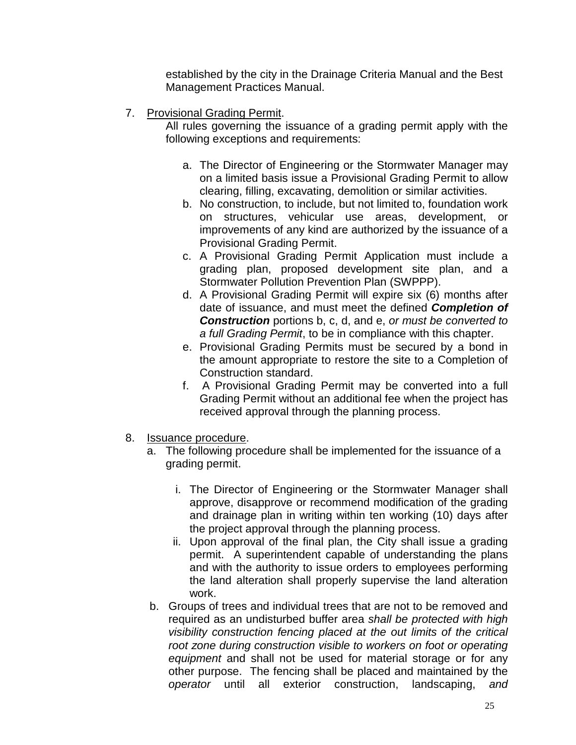established by the city in the Drainage Criteria Manual and the Best Management Practices Manual.

7. Provisional Grading Permit.

All rules governing the issuance of a grading permit apply with the following exceptions and requirements:

- a. The Director of Engineering or the Stormwater Manager may on a limited basis issue a Provisional Grading Permit to allow clearing, filling, excavating, demolition or similar activities.
- b. No construction, to include, but not limited to, foundation work on structures, vehicular use areas, development, or improvements of any kind are authorized by the issuance of a Provisional Grading Permit.
- c. A Provisional Grading Permit Application must include a grading plan, proposed development site plan, and a Stormwater Pollution Prevention Plan (SWPPP).
- d. A Provisional Grading Permit will expire six (6) months after date of issuance, and must meet the defined *Completion of Construction* portions b, c, d, and e, *or must be converted to a full Grading Permit*, to be in compliance with this chapter.
- e. Provisional Grading Permits must be secured by a bond in the amount appropriate to restore the site to a Completion of Construction standard.
- f. A Provisional Grading Permit may be converted into a full Grading Permit without an additional fee when the project has received approval through the planning process.
- 8. **Issuance procedure.** 
	- a. The following procedure shall be implemented for the issuance of a grading permit.
		- i. The Director of Engineering or the Stormwater Manager shall approve, disapprove or recommend modification of the grading and drainage plan in writing within ten working (10) days after the project approval through the planning process.
		- ii. Upon approval of the final plan, the City shall issue a grading permit. A superintendent capable of understanding the plans and with the authority to issue orders to employees performing the land alteration shall properly supervise the land alteration work.
	- b. Groups of trees and individual trees that are not to be removed and required as an undisturbed buffer area *shall be protected with high visibility construction fencing placed at the out limits of the critical root zone during construction visible to workers on foot or operating equipment* and shall not be used for material storage or for any other purpose. The fencing shall be placed and maintained by the *operator* until all exterior construction, landscaping, *and*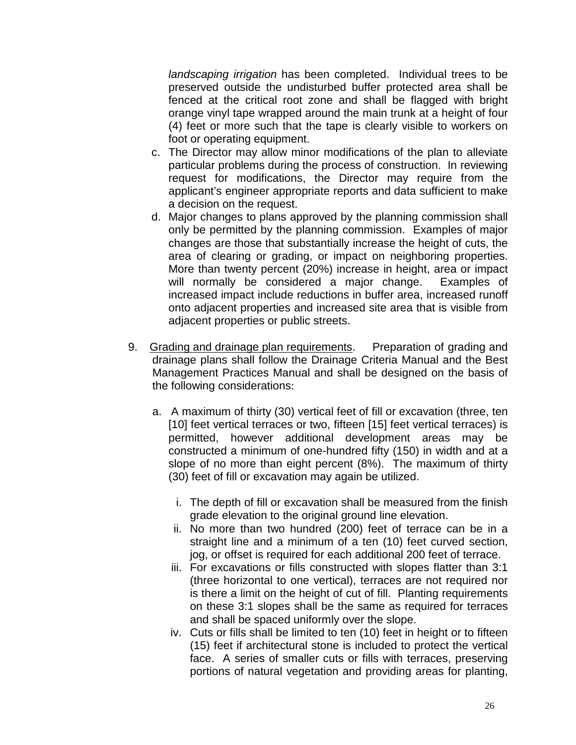*landscaping irrigation* has been completed. Individual trees to be preserved outside the undisturbed buffer protected area shall be fenced at the critical root zone and shall be flagged with bright orange vinyl tape wrapped around the main trunk at a height of four (4) feet or more such that the tape is clearly visible to workers on foot or operating equipment.

- c. The Director may allow minor modifications of the plan to alleviate particular problems during the process of construction. In reviewing request for modifications, the Director may require from the applicant's engineer appropriate reports and data sufficient to make a decision on the request.
- d. Major changes to plans approved by the planning commission shall only be permitted by the planning commission. Examples of major changes are those that substantially increase the height of cuts, the area of clearing or grading, or impact on neighboring properties. More than twenty percent (20%) increase in height, area or impact will normally be considered a major change. Examples of increased impact include reductions in buffer area, increased runoff onto adjacent properties and increased site area that is visible from adjacent properties or public streets.
- 9. Grading and drainage plan requirements. Preparation of grading and drainage plans shall follow the Drainage Criteria Manual and the Best Management Practices Manual and shall be designed on the basis of the following considerations:
	- a. A maximum of thirty (30) vertical feet of fill or excavation (three, ten [10] feet vertical terraces or two, fifteen [15] feet vertical terraces) is permitted, however additional development areas may be constructed a minimum of one-hundred fifty (150) in width and at a slope of no more than eight percent (8%). The maximum of thirty (30) feet of fill or excavation may again be utilized.
		- i. The depth of fill or excavation shall be measured from the finish grade elevation to the original ground line elevation.
		- ii. No more than two hundred (200) feet of terrace can be in a straight line and a minimum of a ten (10) feet curved section, jog, or offset is required for each additional 200 feet of terrace.
		- iii. For excavations or fills constructed with slopes flatter than 3:1 (three horizontal to one vertical), terraces are not required nor is there a limit on the height of cut of fill. Planting requirements on these 3:1 slopes shall be the same as required for terraces and shall be spaced uniformly over the slope.
		- iv. Cuts or fills shall be limited to ten (10) feet in height or to fifteen (15) feet if architectural stone is included to protect the vertical face. A series of smaller cuts or fills with terraces, preserving portions of natural vegetation and providing areas for planting,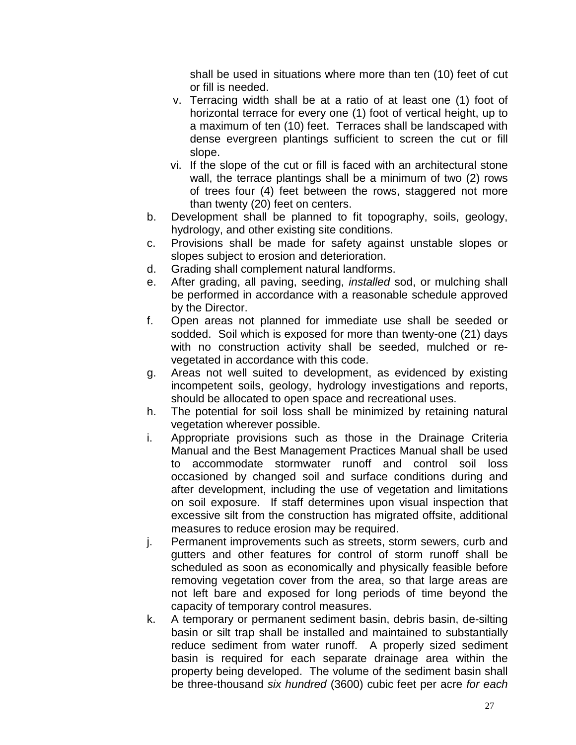shall be used in situations where more than ten (10) feet of cut or fill is needed.

- v. Terracing width shall be at a ratio of at least one (1) foot of horizontal terrace for every one (1) foot of vertical height, up to a maximum of ten (10) feet. Terraces shall be landscaped with dense evergreen plantings sufficient to screen the cut or fill slope.
- vi. If the slope of the cut or fill is faced with an architectural stone wall, the terrace plantings shall be a minimum of two (2) rows of trees four (4) feet between the rows, staggered not more than twenty (20) feet on centers.
- b. Development shall be planned to fit topography, soils, geology, hydrology, and other existing site conditions.
- c. Provisions shall be made for safety against unstable slopes or slopes subject to erosion and deterioration.
- d. Grading shall complement natural landforms.
- e. After grading, all paving, seeding, *installed* sod, or mulching shall be performed in accordance with a reasonable schedule approved by the Director.
- f. Open areas not planned for immediate use shall be seeded or sodded. Soil which is exposed for more than twenty-one (21) days with no construction activity shall be seeded, mulched or revegetated in accordance with this code.
- g. Areas not well suited to development, as evidenced by existing incompetent soils, geology, hydrology investigations and reports, should be allocated to open space and recreational uses.
- h. The potential for soil loss shall be minimized by retaining natural vegetation wherever possible.
- i. Appropriate provisions such as those in the Drainage Criteria Manual and the Best Management Practices Manual shall be used to accommodate stormwater runoff and control soil loss occasioned by changed soil and surface conditions during and after development, including the use of vegetation and limitations on soil exposure. If staff determines upon visual inspection that excessive silt from the construction has migrated offsite, additional measures to reduce erosion may be required.
- j. Permanent improvements such as streets, storm sewers, curb and gutters and other features for control of storm runoff shall be scheduled as soon as economically and physically feasible before removing vegetation cover from the area, so that large areas are not left bare and exposed for long periods of time beyond the capacity of temporary control measures.
- k. A temporary or permanent sediment basin, debris basin, de-silting basin or silt trap shall be installed and maintained to substantially reduce sediment from water runoff. A properly sized sediment basin is required for each separate drainage area within the property being developed. The volume of the sediment basin shall be three-thousand *six hundred* (3600) cubic feet per acre *for each*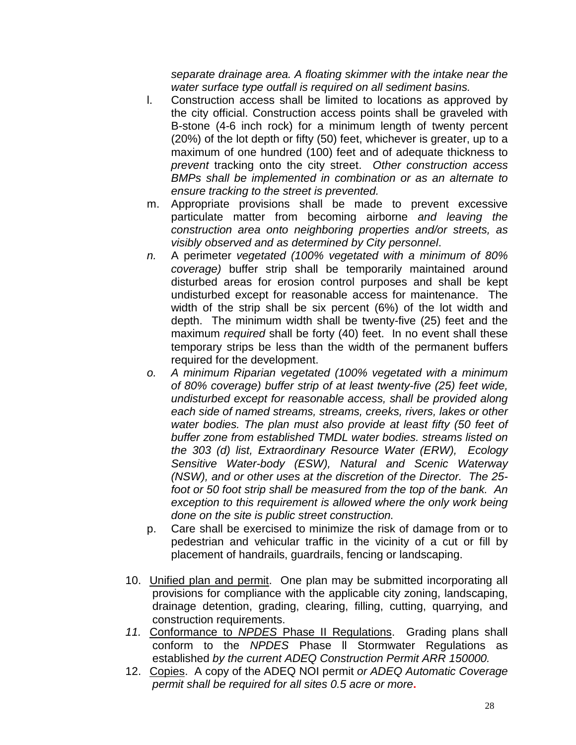*separate drainage area. A floating skimmer with the intake near the water surface type outfall is required on all sediment basins.*

- l. Construction access shall be limited to locations as approved by the city official. Construction access points shall be graveled with B-stone (4-6 inch rock) for a minimum length of twenty percent (20%) of the lot depth or fifty (50) feet, whichever is greater, up to a maximum of one hundred (100) feet and of adequate thickness to *prevent* tracking onto the city street. *Other construction access BMPs shall be implemented in combination or as an alternate to ensure tracking to the street is prevented.*
- m. Appropriate provisions shall be made to prevent excessive particulate matter from becoming airborne *and leaving the construction area onto neighboring properties and/or streets, as visibly observed and as determined by City personnel*.
- *n.* A perimeter *vegetated (100% vegetated with a minimum of 80% coverage)* buffer strip shall be temporarily maintained around disturbed areas for erosion control purposes and shall be kept undisturbed except for reasonable access for maintenance. The width of the strip shall be six percent (6%) of the lot width and depth. The minimum width shall be twenty-five (25) feet and the maximum *required* shall be forty (40) feet. In no event shall these temporary strips be less than the width of the permanent buffers required for the development.
- *o. A minimum Riparian vegetated (100% vegetated with a minimum of 80% coverage) buffer strip of at least twenty-five (25) feet wide, undisturbed except for reasonable access, shall be provided along each side of named streams, streams, creeks, rivers, lakes or other water bodies. The plan must also provide at least fifty (50 feet of buffer zone from established TMDL water bodies. streams listed on the 303 (d) list, Extraordinary Resource Water (ERW), Ecology Sensitive Water-body (ESW), Natural and Scenic Waterway (NSW), and or other uses at the discretion of the Director. The 25 foot or 50 foot strip shall be measured from the top of the bank. An*  exception to this requirement is allowed where the only work being *done on the site is public street construction.*
- p. Care shall be exercised to minimize the risk of damage from or to pedestrian and vehicular traffic in the vicinity of a cut or fill by placement of handrails, guardrails, fencing or landscaping.
- 10. Unified plan and permit. One plan may be submitted incorporating all provisions for compliance with the applicable city zoning, landscaping, drainage detention, grading, clearing, filling, cutting, quarrying, and construction requirements.
- *11.* Conformance to *NPDES* Phase II Regulations. Grading plans shall conform to the *NPDES* Phase ll Stormwater Regulations as established *by the current ADEQ Construction Permit ARR 150000.*
- 12. Copies. A copy of the ADEQ NOI permit *or ADEQ Automatic Coverage permit shall be required for all sites 0.5 acre or more***.**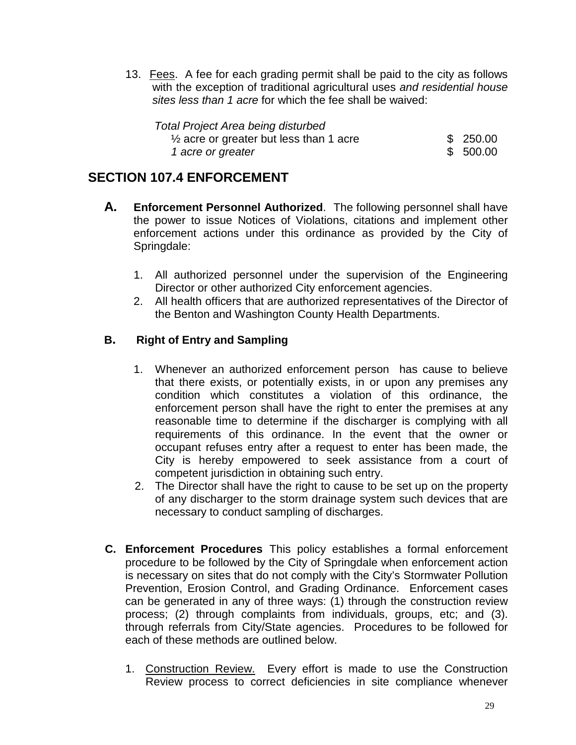13. Fees. A fee for each grading permit shall be paid to the city as follows with the exception of traditional agricultural uses *and residential house sites less than 1 acre* for which the fee shall be waived:

| Total Project Area being disturbed                 |          |
|----------------------------------------------------|----------|
| $\frac{1}{2}$ acre or greater but less than 1 acre | \$250.00 |
| 1 acre or greater                                  | \$500.00 |

## <span id="page-28-0"></span>**SECTION 107.4 ENFORCEMENT**

- **A. Enforcement Personnel Authorized**. The following personnel shall have the power to issue Notices of Violations, citations and implement other enforcement actions under this ordinance as provided by the City of Springdale:
	- 1. All authorized personnel under the supervision of the Engineering Director or other authorized City enforcement agencies.
	- 2. All health officers that are authorized representatives of the Director of the Benton and Washington County Health Departments.

#### **B. Right of Entry and Sampling**

- 1. Whenever an authorized enforcement person has cause to believe that there exists, or potentially exists, in or upon any premises any condition which constitutes a violation of this ordinance, the enforcement person shall have the right to enter the premises at any reasonable time to determine if the discharger is complying with all requirements of this ordinance. In the event that the owner or occupant refuses entry after a request to enter has been made, the City is hereby empowered to seek assistance from a court of competent jurisdiction in obtaining such entry.
- 2. The Director shall have the right to cause to be set up on the property of any discharger to the storm drainage system such devices that are necessary to conduct sampling of discharges.
- **C. Enforcement Procedures** This policy establishes a formal enforcement procedure to be followed by the City of Springdale when enforcement action is necessary on sites that do not comply with the City's Stormwater Pollution Prevention, Erosion Control, and Grading Ordinance. Enforcement cases can be generated in any of three ways: (1) through the construction review process; (2) through complaints from individuals, groups, etc; and (3). through referrals from City/State agencies. Procedures to be followed for each of these methods are outlined below.
	- 1. Construction Review. Every effort is made to use the Construction Review process to correct deficiencies in site compliance whenever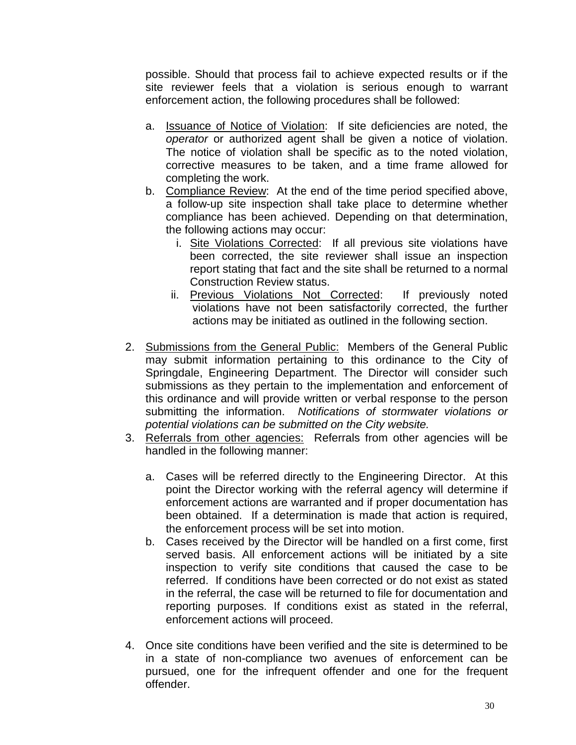possible. Should that process fail to achieve expected results or if the site reviewer feels that a violation is serious enough to warrant enforcement action, the following procedures shall be followed:

- a. Issuance of Notice of Violation: If site deficiencies are noted, the *operator* or authorized agent shall be given a notice of violation. The notice of violation shall be specific as to the noted violation, corrective measures to be taken, and a time frame allowed for completing the work.
- b. Compliance Review: At the end of the time period specified above, a follow-up site inspection shall take place to determine whether compliance has been achieved. Depending on that determination, the following actions may occur:
	- i. Site Violations Corrected: If all previous site violations have been corrected, the site reviewer shall issue an inspection report stating that fact and the site shall be returned to a normal Construction Review status.
	- ii. Previous Violations Not Corrected: If previously noted violations have not been satisfactorily corrected, the further actions may be initiated as outlined in the following section.
- 2. Submissions from the General Public: Members of the General Public may submit information pertaining to this ordinance to the City of Springdale, Engineering Department. The Director will consider such submissions as they pertain to the implementation and enforcement of this ordinance and will provide written or verbal response to the person submitting the information. *Notifications of stormwater violations or potential violations can be submitted on the City website.*
- 3. Referrals from other agencies: Referrals from other agencies will be handled in the following manner:
	- a. Cases will be referred directly to the Engineering Director. At this point the Director working with the referral agency will determine if enforcement actions are warranted and if proper documentation has been obtained. If a determination is made that action is required, the enforcement process will be set into motion.
	- b. Cases received by the Director will be handled on a first come, first served basis. All enforcement actions will be initiated by a site inspection to verify site conditions that caused the case to be referred. If conditions have been corrected or do not exist as stated in the referral, the case will be returned to file for documentation and reporting purposes. If conditions exist as stated in the referral, enforcement actions will proceed.
- 4. Once site conditions have been verified and the site is determined to be in a state of non-compliance two avenues of enforcement can be pursued, one for the infrequent offender and one for the frequent offender.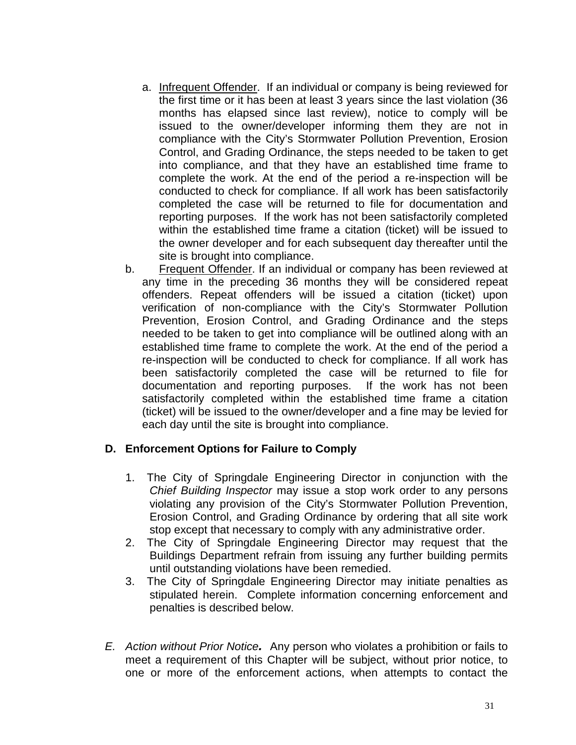- a. Infrequent Offender. If an individual or company is being reviewed for the first time or it has been at least 3 years since the last violation (36 months has elapsed since last review), notice to comply will be issued to the owner/developer informing them they are not in compliance with the City's Stormwater Pollution Prevention, Erosion Control, and Grading Ordinance, the steps needed to be taken to get into compliance, and that they have an established time frame to complete the work. At the end of the period a re-inspection will be conducted to check for compliance. If all work has been satisfactorily completed the case will be returned to file for documentation and reporting purposes. If the work has not been satisfactorily completed within the established time frame a citation (ticket) will be issued to the owner developer and for each subsequent day thereafter until the site is brought into compliance.
- b. Frequent Offender. If an individual or company has been reviewed at any time in the preceding 36 months they will be considered repeat offenders. Repeat offenders will be issued a citation (ticket) upon verification of non-compliance with the City's Stormwater Pollution Prevention, Erosion Control, and Grading Ordinance and the steps needed to be taken to get into compliance will be outlined along with an established time frame to complete the work. At the end of the period a re-inspection will be conducted to check for compliance. If all work has been satisfactorily completed the case will be returned to file for documentation and reporting purposes. If the work has not been satisfactorily completed within the established time frame a citation (ticket) will be issued to the owner/developer and a fine may be levied for each day until the site is brought into compliance.

#### **D. Enforcement Options for Failure to Comply**

- 1. The City of Springdale Engineering Director in conjunction with the *Chief Building Inspector* may issue a stop work order to any persons violating any provision of the City's Stormwater Pollution Prevention, Erosion Control, and Grading Ordinance by ordering that all site work stop except that necessary to comply with any administrative order.
- 2. The City of Springdale Engineering Director may request that the Buildings Department refrain from issuing any further building permits until outstanding violations have been remedied.
- 3. The City of Springdale Engineering Director may initiate penalties as stipulated herein. Complete information concerning enforcement and penalties is described below.
- *E. Action without Prior Notice.* Any person who violates a prohibition or fails to meet a requirement of this Chapter will be subject, without prior notice, to one or more of the enforcement actions, when attempts to contact the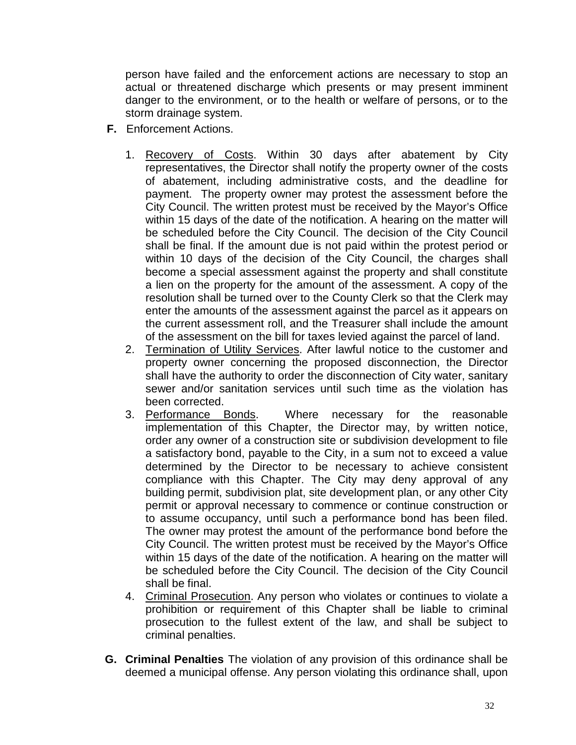person have failed and the enforcement actions are necessary to stop an actual or threatened discharge which presents or may present imminent danger to the environment, or to the health or welfare of persons, or to the storm drainage system.

- **F.** Enforcement Actions.
	- 1. Recovery of Costs. Within 30 days after abatement by City representatives, the Director shall notify the property owner of the costs of abatement, including administrative costs, and the deadline for payment. The property owner may protest the assessment before the City Council. The written protest must be received by the Mayor's Office within 15 days of the date of the notification. A hearing on the matter will be scheduled before the City Council. The decision of the City Council shall be final. If the amount due is not paid within the protest period or within 10 days of the decision of the City Council, the charges shall become a special assessment against the property and shall constitute a lien on the property for the amount of the assessment. A copy of the resolution shall be turned over to the County Clerk so that the Clerk may enter the amounts of the assessment against the parcel as it appears on the current assessment roll, and the Treasurer shall include the amount of the assessment on the bill for taxes levied against the parcel of land.
	- 2. Termination of Utility Services. After lawful notice to the customer and property owner concerning the proposed disconnection, the Director shall have the authority to order the disconnection of City water, sanitary sewer and/or sanitation services until such time as the violation has been corrected.
	- 3. Performance **Bonds**. Where necessary for the reasonable implementation of this Chapter, the Director may, by written notice, order any owner of a construction site or subdivision development to file a satisfactory bond, payable to the City, in a sum not to exceed a value determined by the Director to be necessary to achieve consistent compliance with this Chapter. The City may deny approval of any building permit, subdivision plat, site development plan, or any other City permit or approval necessary to commence or continue construction or to assume occupancy, until such a performance bond has been filed. The owner may protest the amount of the performance bond before the City Council. The written protest must be received by the Mayor's Office within 15 days of the date of the notification. A hearing on the matter will be scheduled before the City Council. The decision of the City Council shall be final.
	- 4. Criminal Prosecution. Any person who violates or continues to violate a prohibition or requirement of this Chapter shall be liable to criminal prosecution to the fullest extent of the law, and shall be subject to criminal penalties.
- **G. Criminal Penalties** The violation of any provision of this ordinance shall be deemed a municipal offense. Any person violating this ordinance shall, upon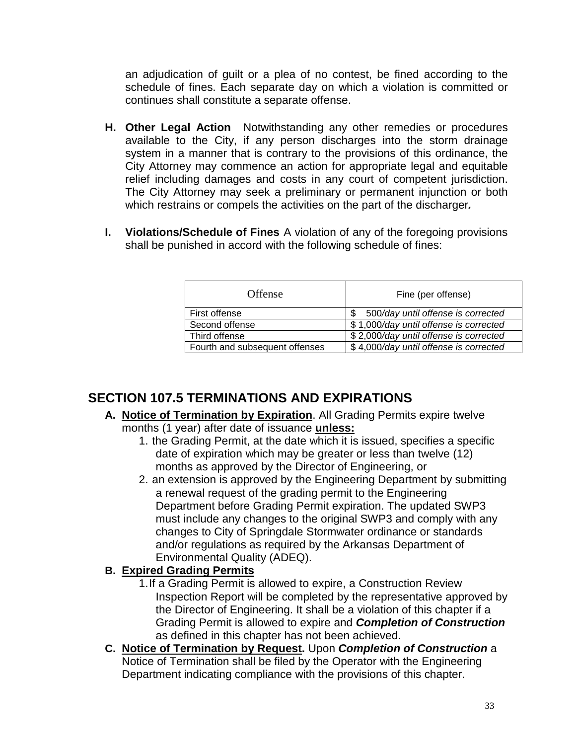an adjudication of guilt or a plea of no contest, be fined according to the schedule of fines. Each separate day on which a violation is committed or continues shall constitute a separate offense.

- **H. Other Legal Action**Notwithstanding any other remedies or procedures available to the City, if any person discharges into the storm drainage system in a manner that is contrary to the provisions of this ordinance, the City Attorney may commence an action for appropriate legal and equitable relief including damages and costs in any court of competent jurisdiction. The City Attorney may seek a preliminary or permanent injunction or both which restrains or compels the activities on the part of the discharger*.*
- **I. Violations/Schedule of Fines** A violation of any of the foregoing provisions shall be punished in accord with the following schedule of fines:

| Offense                        | Fine (per offense)                     |
|--------------------------------|----------------------------------------|
| First offense                  | 500/day until offense is corrected     |
| Second offense                 | \$1,000/day until offense is corrected |
| Third offense                  | \$2,000/day until offense is corrected |
| Fourth and subsequent offenses | \$4,000/day until offense is corrected |

## <span id="page-32-0"></span>**SECTION 107.5 TERMINATIONS AND EXPIRATIONS**

- **A. Notice of Termination by Expiration**. All Grading Permits expire twelve months (1 year) after date of issuance **unless:**
	- 1. the Grading Permit, at the date which it is issued, specifies a specific date of expiration which may be greater or less than twelve (12) months as approved by the Director of Engineering, or
	- 2. an extension is approved by the Engineering Department by submitting a renewal request of the grading permit to the Engineering Department before Grading Permit expiration. The updated SWP3 must include any changes to the original SWP3 and comply with any changes to City of Springdale Stormwater ordinance or standards and/or regulations as required by the Arkansas Department of Environmental Quality (ADEQ).

### **B. Expired Grading Permits**

- 1.If a Grading Permit is allowed to expire, a Construction Review Inspection Report will be completed by the representative approved by the Director of Engineering. It shall be a violation of this chapter if a Grading Permit is allowed to expire and *Completion of Construction* as defined in this chapter has not been achieved.
- **C. Notice of Termination by Request.** Upon *Completion of Construction* a Notice of Termination shall be filed by the Operator with the Engineering Department indicating compliance with the provisions of this chapter.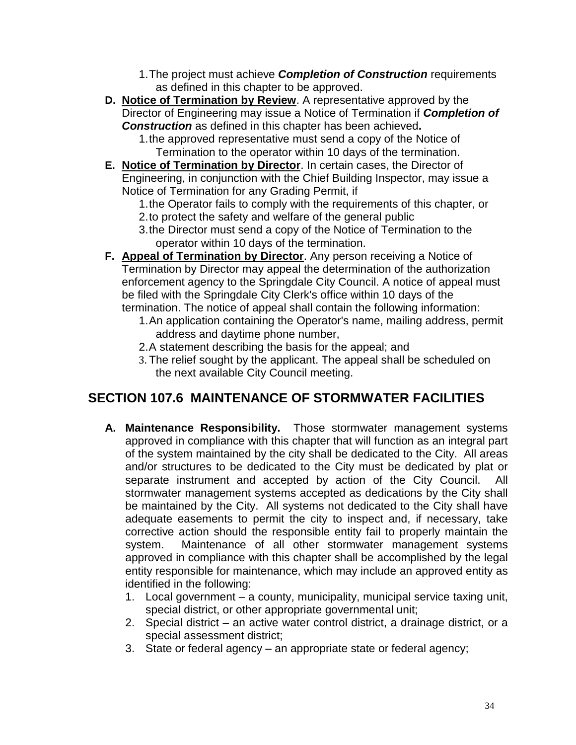- 1.The project must achieve *Completion of Construction* requirements as defined in this chapter to be approved.
- **D. Notice of Termination by Review**. A representative approved by the Director of Engineering may issue a Notice of Termination if *Completion of Construction* as defined in this chapter has been achieved**.**

1.the approved representative must send a copy of the Notice of Termination to the operator within 10 days of the termination.

**E. Notice of Termination by Director**. In certain cases, the Director of Engineering, in conjunction with the Chief Building Inspector, may issue a Notice of Termination for any Grading Permit, if

1.the Operator fails to comply with the requirements of this chapter, or 2.to protect the safety and welfare of the general public

- 3.the Director must send a copy of the Notice of Termination to the operator within 10 days of the termination.
- **F. Appeal of Termination by Director**. Any person receiving a Notice of Termination by Director may appeal the determination of the authorization enforcement agency to the Springdale City Council. A notice of appeal must be filed with the Springdale City Clerk's office within 10 days of the termination. The notice of appeal shall contain the following information:
	- 1.An application containing the Operator's name, mailing address, permit address and daytime phone number,
	- 2.A statement describing the basis for the appeal; and
	- 3. The relief sought by the applicant. The appeal shall be scheduled on the next available City Council meeting.

## <span id="page-33-0"></span>**SECTION 107.6 MAINTENANCE OF STORMWATER FACILITIES**

- **A. Maintenance Responsibility.** Those stormwater management systems approved in compliance with this chapter that will function as an integral part of the system maintained by the city shall be dedicated to the City. All areas and/or structures to be dedicated to the City must be dedicated by plat or separate instrument and accepted by action of the City Council. All stormwater management systems accepted as dedications by the City shall be maintained by the City. All systems not dedicated to the City shall have adequate easements to permit the city to inspect and, if necessary, take corrective action should the responsible entity fail to properly maintain the system. Maintenance of all other stormwater management systems approved in compliance with this chapter shall be accomplished by the legal entity responsible for maintenance, which may include an approved entity as identified in the following:
	- 1. Local government a county, municipality, municipal service taxing unit, special district, or other appropriate governmental unit;
	- 2. Special district an active water control district, a drainage district, or a special assessment district;
	- 3. State or federal agency an appropriate state or federal agency;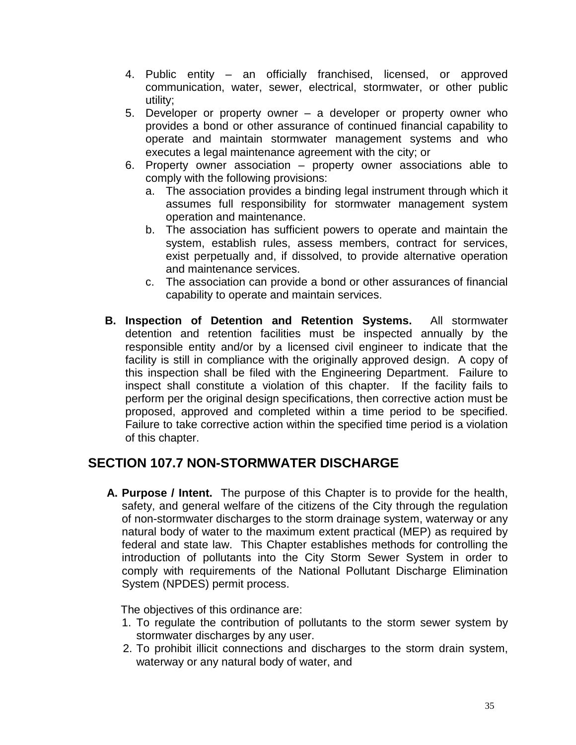- 4. Public entity an officially franchised, licensed, or approved communication, water, sewer, electrical, stormwater, or other public utility;
- 5. Developer or property owner a developer or property owner who provides a bond or other assurance of continued financial capability to operate and maintain stormwater management systems and who executes a legal maintenance agreement with the city; or
- 6. Property owner association property owner associations able to comply with the following provisions:
	- a. The association provides a binding legal instrument through which it assumes full responsibility for stormwater management system operation and maintenance.
	- b. The association has sufficient powers to operate and maintain the system, establish rules, assess members, contract for services, exist perpetually and, if dissolved, to provide alternative operation and maintenance services.
	- c. The association can provide a bond or other assurances of financial capability to operate and maintain services.
- **B. Inspection of Detention and Retention Systems.** All stormwater detention and retention facilities must be inspected annually by the responsible entity and/or by a licensed civil engineer to indicate that the facility is still in compliance with the originally approved design. A copy of this inspection shall be filed with the Engineering Department. Failure to inspect shall constitute a violation of this chapter. If the facility fails to perform per the original design specifications, then corrective action must be proposed, approved and completed within a time period to be specified. Failure to take corrective action within the specified time period is a violation of this chapter.

## **SECTION 107.7 NON-STORMWATER DISCHARGE**

**A. Purpose / Intent.** The purpose of this Chapter is to provide for the health, safety, and general welfare of the citizens of the City through the regulation of non-stormwater discharges to the storm drainage system, waterway or any natural body of water to the maximum extent practical (MEP) as required by federal and state law. This Chapter establishes methods for controlling the introduction of pollutants into the City Storm Sewer System in order to comply with requirements of the National Pollutant Discharge Elimination System (NPDES) permit process.

The objectives of this ordinance are:

- 1. To regulate the contribution of pollutants to the storm sewer system by stormwater discharges by any user.
- 2. To prohibit illicit connections and discharges to the storm drain system, waterway or any natural body of water, and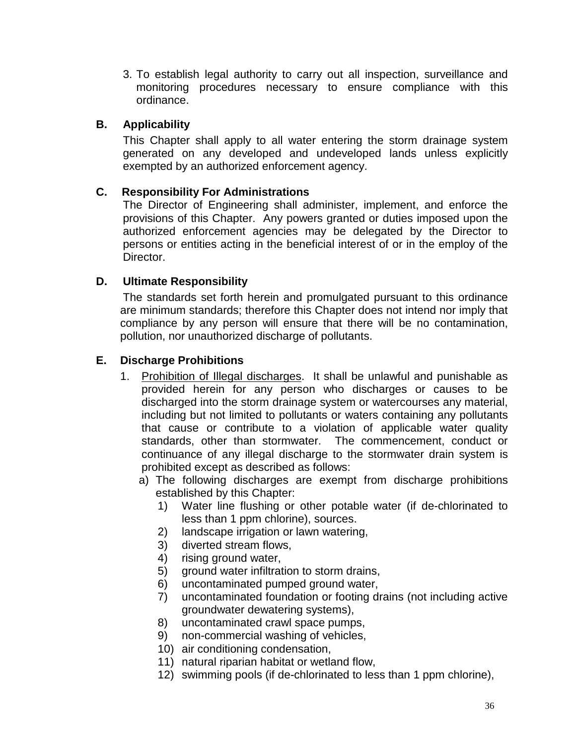3. To establish legal authority to carry out all inspection, surveillance and monitoring procedures necessary to ensure compliance with this ordinance.

#### **B. Applicability**

This Chapter shall apply to all water entering the storm drainage system generated on any developed and undeveloped lands unless explicitly exempted by an authorized enforcement agency.

#### **C. Responsibility For Administrations**

The Director of Engineering shall administer, implement, and enforce the provisions of this Chapter. Any powers granted or duties imposed upon the authorized enforcement agencies may be delegated by the Director to persons or entities acting in the beneficial interest of or in the employ of the Director.

#### **D. Ultimate Responsibility**

The standards set forth herein and promulgated pursuant to this ordinance are minimum standards; therefore this Chapter does not intend nor imply that compliance by any person will ensure that there will be no contamination, pollution, nor unauthorized discharge of pollutants.

#### **E. Discharge Prohibitions**

- 1. Prohibition of Illegal discharges. It shall be unlawful and punishable as provided herein for any person who discharges or causes to be discharged into the storm drainage system or watercourses any material, including but not limited to pollutants or waters containing any pollutants that cause or contribute to a violation of applicable water quality standards, other than stormwater. The commencement, conduct or continuance of any illegal discharge to the stormwater drain system is prohibited except as described as follows:
	- a) The following discharges are exempt from discharge prohibitions established by this Chapter:
		- 1) Water line flushing or other potable water (if de-chlorinated to less than 1 ppm chlorine), sources.
		- 2) landscape irrigation or lawn watering,
		- 3) diverted stream flows,
		- 4) rising ground water,
		- 5) ground water infiltration to storm drains,
		- 6) uncontaminated pumped ground water,
		- 7) uncontaminated foundation or footing drains (not including active groundwater dewatering systems),
		- 8) uncontaminated crawl space pumps,
		- 9) non-commercial washing of vehicles,
		- 10) air conditioning condensation,
		- 11) natural riparian habitat or wetland flow,
		- 12) swimming pools (if de-chlorinated to less than 1 ppm chlorine),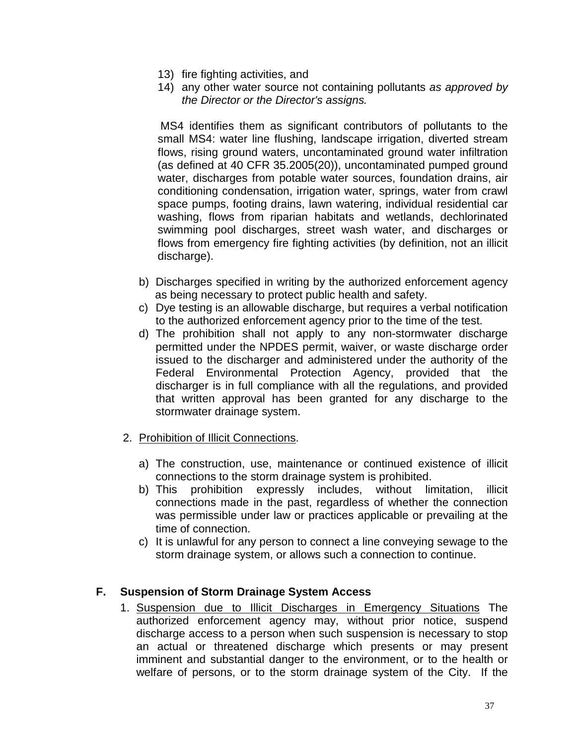- 13) fire fighting activities, and
- 14) any other water source not containing pollutants *as approved by the Director or the Director's assigns.*

MS4 identifies them as significant contributors of pollutants to the small MS4: water line flushing, landscape irrigation, diverted stream flows, rising ground waters, uncontaminated ground water infiltration (as defined at 40 CFR 35.2005(20)), uncontaminated pumped ground water, discharges from potable water sources, foundation drains, air conditioning condensation, irrigation water, springs, water from crawl space pumps, footing drains, lawn watering, individual residential car washing, flows from riparian habitats and wetlands, dechlorinated swimming pool discharges, street wash water, and discharges or flows from emergency fire fighting activities (by definition, not an illicit discharge).

- b) Discharges specified in writing by the authorized enforcement agency as being necessary to protect public health and safety.
- c) Dye testing is an allowable discharge, but requires a verbal notification to the authorized enforcement agency prior to the time of the test.
- d) The prohibition shall not apply to any non-stormwater discharge permitted under the NPDES permit, waiver, or waste discharge order issued to the discharger and administered under the authority of the Federal Environmental Protection Agency, provided that the discharger is in full compliance with all the regulations, and provided that written approval has been granted for any discharge to the stormwater drainage system.
- 2. Prohibition of Illicit Connections.
	- a) The construction, use, maintenance or continued existence of illicit connections to the storm drainage system is prohibited.
	- b) This prohibition expressly includes, without limitation, illicit connections made in the past, regardless of whether the connection was permissible under law or practices applicable or prevailing at the time of connection.
	- c) It is unlawful for any person to connect a line conveying sewage to the storm drainage system, or allows such a connection to continue.

#### **F. Suspension of Storm Drainage System Access**

1. Suspension due to Illicit Discharges in Emergency Situations The authorized enforcement agency may, without prior notice, suspend discharge access to a person when such suspension is necessary to stop an actual or threatened discharge which presents or may present imminent and substantial danger to the environment, or to the health or welfare of persons, or to the storm drainage system of the City. If the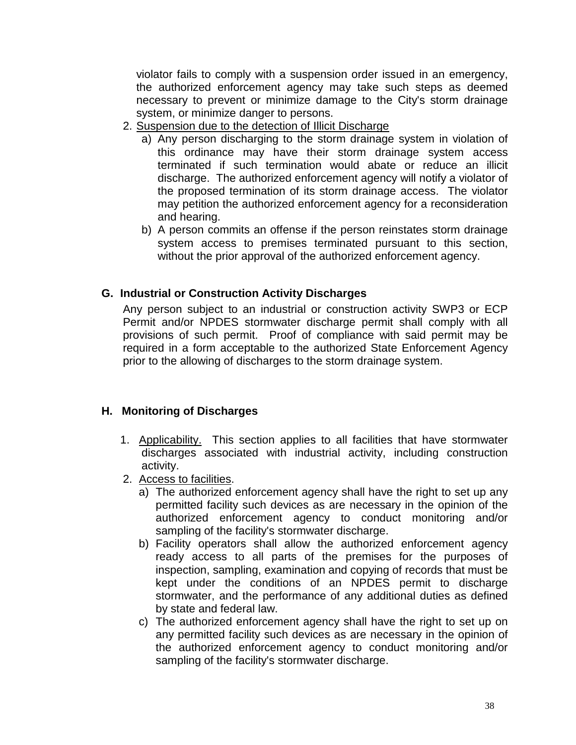violator fails to comply with a suspension order issued in an emergency, the authorized enforcement agency may take such steps as deemed necessary to prevent or minimize damage to the City's storm drainage system, or minimize danger to persons.

- 2. Suspension due to the detection of Illicit Discharge
	- a) Any person discharging to the storm drainage system in violation of this ordinance may have their storm drainage system access terminated if such termination would abate or reduce an illicit discharge. The authorized enforcement agency will notify a violator of the proposed termination of its storm drainage access. The violator may petition the authorized enforcement agency for a reconsideration and hearing.
	- b) A person commits an offense if the person reinstates storm drainage system access to premises terminated pursuant to this section, without the prior approval of the authorized enforcement agency.

#### **G. Industrial or Construction Activity Discharges**

Any person subject to an industrial or construction activity SWP3 or ECP Permit and/or NPDES stormwater discharge permit shall comply with all provisions of such permit. Proof of compliance with said permit may be required in a form acceptable to the authorized State Enforcement Agency prior to the allowing of discharges to the storm drainage system.

#### **H. Monitoring of Discharges**

- 1. Applicability. This section applies to all facilities that have stormwater discharges associated with industrial activity, including construction activity.
- 2. Access to facilities.
	- a) The authorized enforcement agency shall have the right to set up any permitted facility such devices as are necessary in the opinion of the authorized enforcement agency to conduct monitoring and/or sampling of the facility's stormwater discharge.
	- b) Facility operators shall allow the authorized enforcement agency ready access to all parts of the premises for the purposes of inspection, sampling, examination and copying of records that must be kept under the conditions of an NPDES permit to discharge stormwater, and the performance of any additional duties as defined by state and federal law.
	- c) The authorized enforcement agency shall have the right to set up on any permitted facility such devices as are necessary in the opinion of the authorized enforcement agency to conduct monitoring and/or sampling of the facility's stormwater discharge.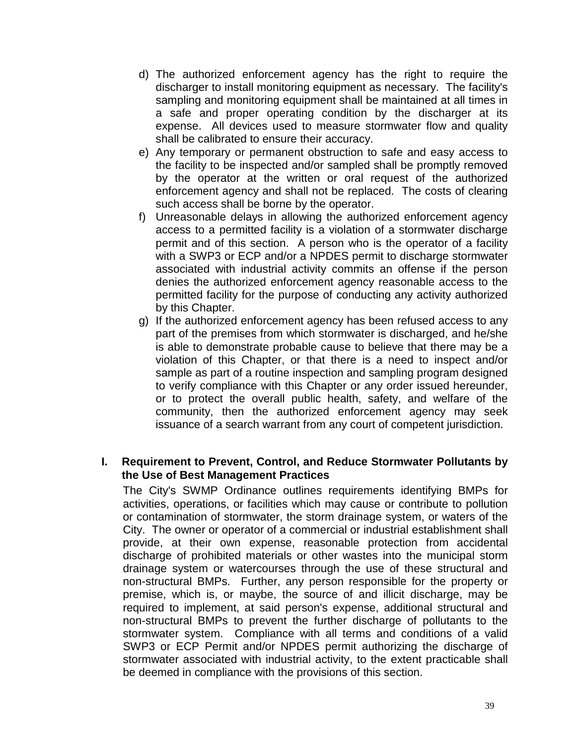- d) The authorized enforcement agency has the right to require the discharger to install monitoring equipment as necessary. The facility's sampling and monitoring equipment shall be maintained at all times in a safe and proper operating condition by the discharger at its expense. All devices used to measure stormwater flow and quality shall be calibrated to ensure their accuracy.
- e) Any temporary or permanent obstruction to safe and easy access to the facility to be inspected and/or sampled shall be promptly removed by the operator at the written or oral request of the authorized enforcement agency and shall not be replaced. The costs of clearing such access shall be borne by the operator.
- f) Unreasonable delays in allowing the authorized enforcement agency access to a permitted facility is a violation of a stormwater discharge permit and of this section. A person who is the operator of a facility with a SWP3 or ECP and/or a NPDES permit to discharge stormwater associated with industrial activity commits an offense if the person denies the authorized enforcement agency reasonable access to the permitted facility for the purpose of conducting any activity authorized by this Chapter.
- g) If the authorized enforcement agency has been refused access to any part of the premises from which stormwater is discharged, and he/she is able to demonstrate probable cause to believe that there may be a violation of this Chapter, or that there is a need to inspect and/or sample as part of a routine inspection and sampling program designed to verify compliance with this Chapter or any order issued hereunder, or to protect the overall public health, safety, and welfare of the community, then the authorized enforcement agency may seek issuance of a search warrant from any court of competent jurisdiction.

#### **I. Requirement to Prevent, Control, and Reduce Stormwater Pollutants by the Use of Best Management Practices**

The City's SWMP Ordinance outlines requirements identifying BMPs for activities, operations, or facilities which may cause or contribute to pollution or contamination of stormwater, the storm drainage system, or waters of the City. The owner or operator of a commercial or industrial establishment shall provide, at their own expense, reasonable protection from accidental discharge of prohibited materials or other wastes into the municipal storm drainage system or watercourses through the use of these structural and non-structural BMPs. Further, any person responsible for the property or premise, which is, or maybe, the source of and illicit discharge, may be required to implement, at said person's expense, additional structural and non-structural BMPs to prevent the further discharge of pollutants to the stormwater system. Compliance with all terms and conditions of a valid SWP3 or ECP Permit and/or NPDES permit authorizing the discharge of stormwater associated with industrial activity, to the extent practicable shall be deemed in compliance with the provisions of this section.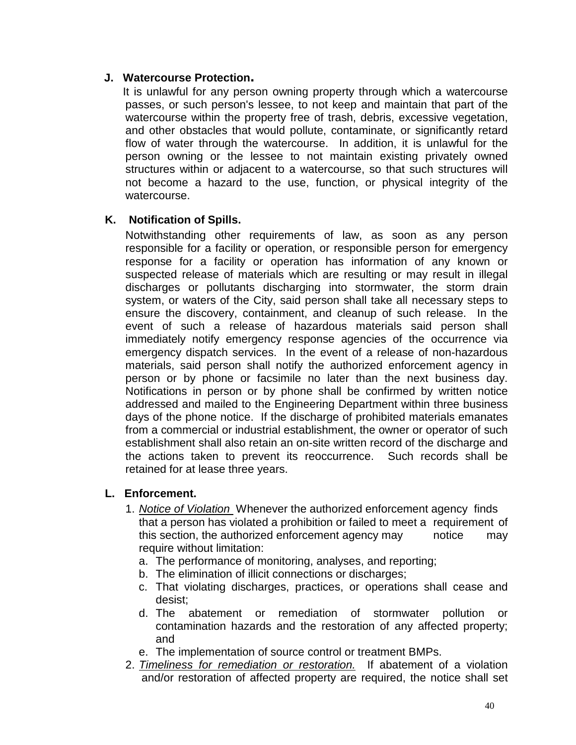#### **J. Watercourse Protection.**

It is unlawful for any person owning property through which a watercourse passes, or such person's lessee, to not keep and maintain that part of the watercourse within the property free of trash, debris, excessive vegetation, and other obstacles that would pollute, contaminate, or significantly retard flow of water through the watercourse. In addition, it is unlawful for the person owning or the lessee to not maintain existing privately owned structures within or adjacent to a watercourse, so that such structures will not become a hazard to the use, function, or physical integrity of the watercourse.

#### **K. Notification of Spills.**

Notwithstanding other requirements of law, as soon as any person responsible for a facility or operation, or responsible person for emergency response for a facility or operation has information of any known or suspected release of materials which are resulting or may result in illegal discharges or pollutants discharging into stormwater, the storm drain system, or waters of the City, said person shall take all necessary steps to ensure the discovery, containment, and cleanup of such release. In the event of such a release of hazardous materials said person shall immediately notify emergency response agencies of the occurrence via emergency dispatch services. In the event of a release of non-hazardous materials, said person shall notify the authorized enforcement agency in person or by phone or facsimile no later than the next business day. Notifications in person or by phone shall be confirmed by written notice addressed and mailed to the Engineering Department within three business days of the phone notice. If the discharge of prohibited materials emanates from a commercial or industrial establishment, the owner or operator of such establishment shall also retain an on-site written record of the discharge and the actions taken to prevent its reoccurrence. Such records shall be retained for at lease three years.

#### **L. Enforcement.**

- 1. *Notice of Violation* Whenever the authorized enforcement agency finds that a person has violated a prohibition or failed to meet a requirement of this section, the authorized enforcement agency may notice may require without limitation:
	- a. The performance of monitoring, analyses, and reporting;
	- b. The elimination of illicit connections or discharges;
	- c. That violating discharges, practices, or operations shall cease and desist;
	- d. The abatement or remediation of stormwater pollution or contamination hazards and the restoration of any affected property; and
	- e. The implementation of source control or treatment BMPs.
- 2. *Timeliness for remediation or restoration.* If abatement of a violation and/or restoration of affected property are required, the notice shall set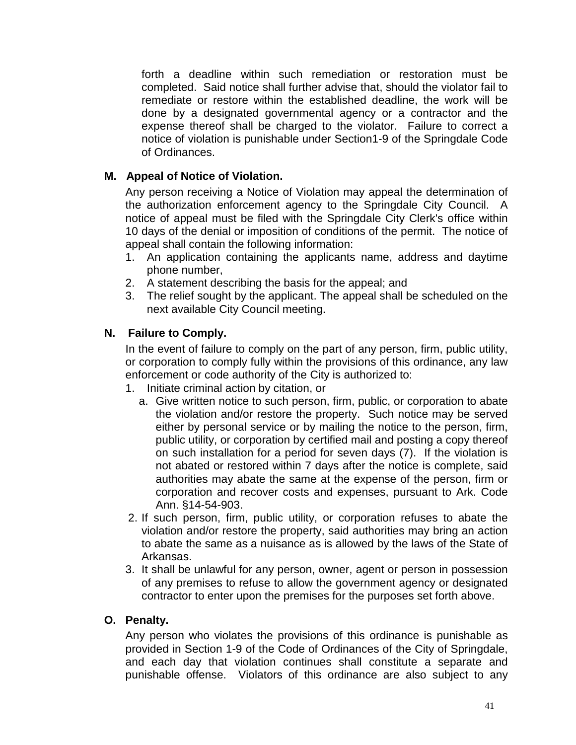forth a deadline within such remediation or restoration must be completed. Said notice shall further advise that, should the violator fail to remediate or restore within the established deadline, the work will be done by a designated governmental agency or a contractor and the expense thereof shall be charged to the violator. Failure to correct a notice of violation is punishable under Section1-9 of the Springdale Code of Ordinances.

#### **M. Appeal of Notice of Violation.**

Any person receiving a Notice of Violation may appeal the determination of the authorization enforcement agency to the Springdale City Council. A notice of appeal must be filed with the Springdale City Clerk's office within 10 days of the denial or imposition of conditions of the permit. The notice of appeal shall contain the following information:

- 1. An application containing the applicants name, address and daytime phone number,
- 2. A statement describing the basis for the appeal; and
- 3. The relief sought by the applicant. The appeal shall be scheduled on the next available City Council meeting.

#### **N. Failure to Comply.**

In the event of failure to comply on the part of any person, firm, public utility, or corporation to comply fully within the provisions of this ordinance, any law enforcement or code authority of the City is authorized to:

- 1. Initiate criminal action by citation, or
	- a. Give written notice to such person, firm, public, or corporation to abate the violation and/or restore the property. Such notice may be served either by personal service or by mailing the notice to the person, firm, public utility, or corporation by certified mail and posting a copy thereof on such installation for a period for seven days (7). If the violation is not abated or restored within 7 days after the notice is complete, said authorities may abate the same at the expense of the person, firm or corporation and recover costs and expenses, pursuant to Ark. Code Ann. §14-54-903.
- 2. If such person, firm, public utility, or corporation refuses to abate the violation and/or restore the property, said authorities may bring an action to abate the same as a nuisance as is allowed by the laws of the State of Arkansas.
- 3. It shall be unlawful for any person, owner, agent or person in possession of any premises to refuse to allow the government agency or designated contractor to enter upon the premises for the purposes set forth above.

#### **O. Penalty.**

Any person who violates the provisions of this ordinance is punishable as provided in Section 1-9 of the Code of Ordinances of the City of Springdale, and each day that violation continues shall constitute a separate and punishable offense. Violators of this ordinance are also subject to any